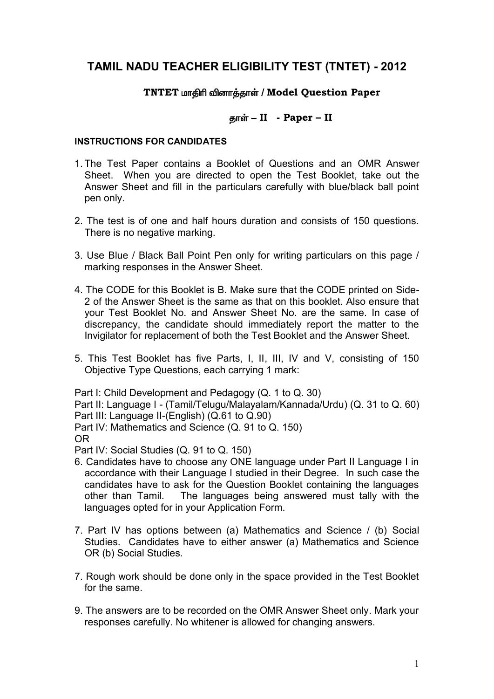# **TAMIL NADU TEACHER ELIGIBILITY TEST (TNTET) - 2012**

## **TNTET** மாதிரி வினாத்தாள் / Model Question Paper

## **jhŸ - II - Paper – II**

## **INSTRUCTIONS FOR CANDIDATES**

- 1. The Test Paper contains a Booklet of Questions and an OMR Answer Sheet. When you are directed to open the Test Booklet, take out the Answer Sheet and fill in the particulars carefully with blue/black ball point pen only.
- 2. The test is of one and half hours duration and consists of 150 questions. There is no negative marking.
- 3. Use Blue / Black Ball Point Pen only for writing particulars on this page / marking responses in the Answer Sheet.
- 4. The CODE for this Booklet is B. Make sure that the CODE printed on Side-2 of the Answer Sheet is the same as that on this booklet. Also ensure that your Test Booklet No. and Answer Sheet No. are the same. In case of discrepancy, the candidate should immediately report the matter to the Invigilator for replacement of both the Test Booklet and the Answer Sheet.
- 5. This Test Booklet has five Parts, I, II, III, IV and V, consisting of 150 Objective Type Questions, each carrying 1 mark:

Part I: Child Development and Pedagogy (Q. 1 to Q. 30) Part II: Language I - (Tamil/Telugu/Malayalam/Kannada/Urdu) (Q. 31 to Q. 60) Part III: Language II-(English) (Q.61 to Q.90) Part IV: Mathematics and Science (Q. 91 to Q. 150) OR Part IV: Social Studies (Q. 91 to Q. 150)

- 6. Candidates have to choose any ONE language under Part II Language I in accordance with their Language I studied in their Degree. In such case the candidates have to ask for the Question Booklet containing the languages other than Tamil. The languages being answered must tally with the languages opted for in your Application Form.
- 7. Part IV has options between (a) Mathematics and Science / (b) Social Studies. Candidates have to either answer (a) Mathematics and Science OR (b) Social Studies.
- 7. Rough work should be done only in the space provided in the Test Booklet for the same.
- 9. The answers are to be recorded on the OMR Answer Sheet only. Mark your responses carefully. No whitener is allowed for changing answers.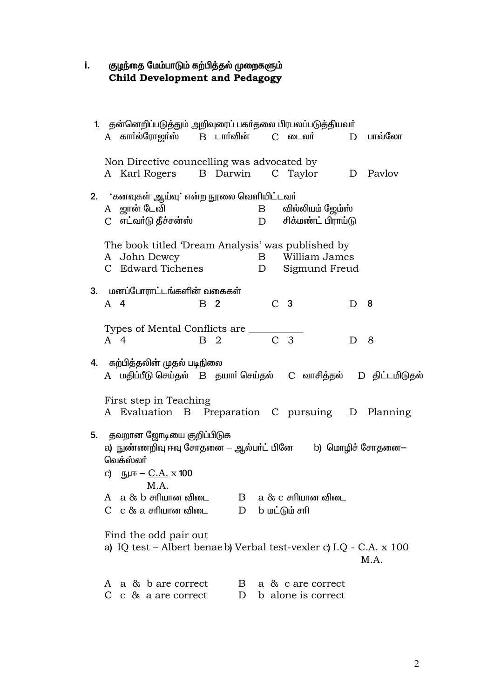# குழந்தை மேம்பாடும் கற்பித்தல் முறைகளும்<br>Child Development and Pedagogy i.

| 1. தன்னெறிப்படுத்தும் அறிவுரைப் பகா்தலை பிரபலப்படுத்தியவா்                             |
|----------------------------------------------------------------------------------------|
| A கார்ல்ரோஜர்ஸ்   B டார்வின்   C டைலர்    D பாவ்லோ                                     |
|                                                                                        |
| Non Directive councelling was advocated by<br>A Karl Rogers B Darwin C Taylor D Pavlov |
|                                                                                        |
| 2. 'கனவுகள் ஆய்வு' என்ற நூலை வெளியிட்டவர்                                              |
| A ஜான் டேவி<br>வில்லியம் ஜேம்ஸ்<br>$\mathbf{B}$                                        |
| C எட்வாடு தீச்சன்ஸ்<br>D சிக்மண்ட் பிராய்டு                                            |
| The book titled 'Dream Analysis' was published by                                      |
| A John Dewey<br><b>B</b> William James                                                 |
| C Edward Tichenes<br>D Sigmund Freud                                                   |
| 3. மனப்போராட்டங்களின் வகைகள்                                                           |
| C <sub>3</sub><br>$A$ 4<br>B <sub>2</sub><br>- 8<br>D                                  |
|                                                                                        |
| Types of Mental Conflicts are ______                                                   |
| $\overline{C}$<br>$\overline{3}$<br>A 4<br><b>B</b> 2<br>8<br>D                        |
| 4. கற்பித்தலின் முதல் படிநிலை                                                          |
| A மதிப்பீடு செய்தல் B தயாா் செய்தல் C வாசித்தல் D திட்டமிடுதல்                         |
|                                                                                        |
| First step in Teaching<br>A Evaluation B Preparation C pursuing D Planning             |
|                                                                                        |
| <b>5.</b> தவறான ஜோடியை குறிப்பிடுக                                                     |
| a) நுண்ணறிவு ஈவு சோதனை — ஆல்பா்ட் பினே b) மொழிச் சோதனை—                                |
| வெக்ஸ்லா்                                                                              |
| c) நு.ஈ – <u>C.A.</u> x 100<br>M.A.                                                    |
| $A \text{ a } \& b \text{$ சாியான விடை<br>$a \& c$ சரியான விடை<br>B                    |
| $C \, c \, \& a \, \text{efflum}$ ன விடை<br>D<br>b மட்டும் சரி                         |
|                                                                                        |
| Find the odd pair out                                                                  |
| a) IQ test - Albert benae b) Verbal test-vexler c) I.Q - C.A. x 100<br>M.A.            |
|                                                                                        |
| A a & b are correct<br>$\mathbf{B}$<br>a & c are correct                               |
| b alone is correct<br>C $\,c\,$ & a are correct<br>D                                   |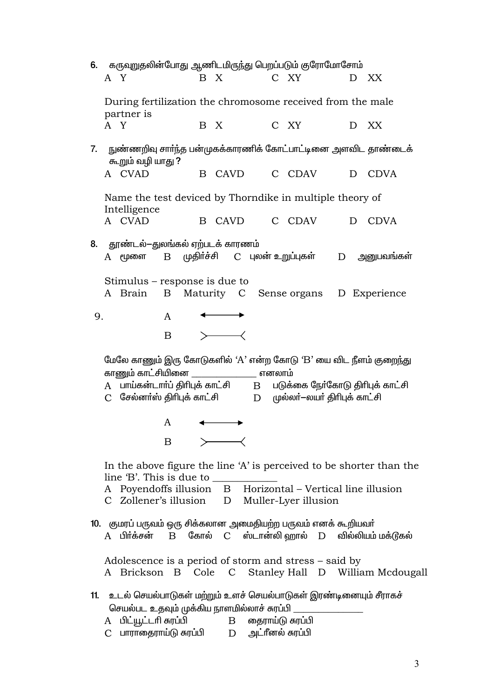|    | 6. கருவுறுதலின்போது ஆணிடமிருந்து பெறப்படும் குரோமோசோம்                                                                                                                                                                                                                |  |
|----|-----------------------------------------------------------------------------------------------------------------------------------------------------------------------------------------------------------------------------------------------------------------------|--|
|    | C XY<br>A Y<br>B X<br>D XX                                                                                                                                                                                                                                            |  |
|    | During fertilization the chromosome received from the male<br>partner is                                                                                                                                                                                              |  |
|    | A Y<br>C XY<br>B X<br>D<br>XX                                                                                                                                                                                                                                         |  |
| 7. | நுண்ணறிவு சாா்ந்த பன்முகக்காரணிக் கோட்பாட்டினை அளவிட தாண்டைக்<br>கூறும் வழி யாது ?                                                                                                                                                                                    |  |
|    | A CVAD<br>B CAVD C CDAV<br>D CDVA                                                                                                                                                                                                                                     |  |
|    | Name the test deviced by Thorndike in multiple theory of<br>Intelligence                                                                                                                                                                                              |  |
|    | A CVAD<br>B CAVD C CDAV<br>D CDVA                                                                                                                                                                                                                                     |  |
|    | 8. தூண்டல்-துலங்கல் ஏற்படக் காரணம்<br>B முதிா்ச்சி C புலன் உறுப்புகள்<br>அனுபவங்கள்<br>$A$ மூளை<br>D                                                                                                                                                                  |  |
|    | Stimulus – response is due to<br>A Brain<br>B Maturity C Sense organs D Experience                                                                                                                                                                                    |  |
| 9. | A                                                                                                                                                                                                                                                                     |  |
|    | B                                                                                                                                                                                                                                                                     |  |
|    | மேலே காணும் இரு கோடுகளில் 'A' என்ற கோடு 'B' யை விட நீளம் குறைந்து<br>காணும் காட்சியினை _________________ எனலாம்<br>A பாய்கன்டார்ப் திரிபுக் காட்சி B படுக்கை நேர்கோடு திரிபுக் காட்சி<br>சேல்னா்ஸ் திாிபுக் காட்சி<br>D முல்லர்-லயர் திரிபுக் காட்சி<br>$\mathcal{C}$ |  |
|    | A                                                                                                                                                                                                                                                                     |  |
|    | B                                                                                                                                                                                                                                                                     |  |
|    | In the above figure the line 'A' is perceived to be shorter than the<br>line 'B'. This is due to<br>A Poyendoffs illusion B Horizontal - Vertical line illusion                                                                                                       |  |
|    | C Zollener's illusion D Muller-Lyer illusion                                                                                                                                                                                                                          |  |
|    | 10. குமரப் பருவம் ஒரு சிக்கலான அமைதியற்ற பருவம் எனக் கூறியவா்<br>$A$ பிர்க்சன் $B$ கோல் $C$ ஸ்டான்லி $\omega$ றால் $D$ வில்லியம் $\omega$ க்டூகல்                                                                                                                     |  |
|    |                                                                                                                                                                                                                                                                       |  |
|    | Adolescence is a period of storm and stress – said by<br>A Brickson B Cole C Stanley Hall D William Mcdougall                                                                                                                                                         |  |
|    | 11. உடல் செயல்பாடுகள் மற்றும் உளச் செயல்பாடுகள் இரண்டினையும் சீராகச்                                                                                                                                                                                                  |  |
|    | செயல்பட உதவும் முக்கிய நாளமில்லாச் சுரப்பி _                                                                                                                                                                                                                          |  |
|    | A பிட்யூட்டரி சுரப்பி<br>B தைராய்டு சுரப்பி<br>பாராதைராய்டு சுரப்பி         D       அட்ரீனல் சுரப்பி<br>$\mathcal{C}$                                                                                                                                                 |  |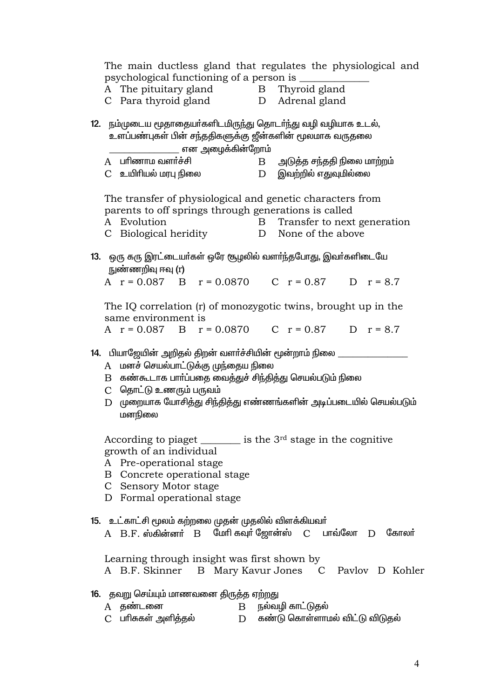The main ductless gland that regulates the physiological and psychological functioning of a person is

- A The pituitary gland
- Thyroid gland  $\mathbf{B}$
- C Para thyroid gland
- D Adrenal gland

12. நம்முடைய மூதாதையா்களிடமிருந்து தொடா்ந்து வழி வழியாக உடல், உளப்பண்புகள் பின் சந்ததிகளுக்கு ஜீன்களின் மூலமாக வருதலை என அமைக்கின்றோம்

A பரிணாம வளர்ச்சி அடுத்த சந்ததி நிலை மாற்றம்  $\mathbf{B}$ C உயிரியல் மரபு நிலை  $D$  இவற்றில் எதுவுமில்லை

The transfer of physiological and genetic characters from parents to off springs through generations is called

- A Evolution B Transfer to next generation
- C Biological heridity D None of the above
- 13. ஒரு கரு இரட்டையர்கள் ஒரே சூழலில் வளர்ந்தபோது, இவர்களிடையே நுண்ணறிவு ஈவு (r)

A  $r = 0.087$  B  $r = 0.0870$  C  $r = 0.87$  D  $r = 8.7$ 

The IQ correlation (r) of monozygotic twins, brought up in the same environment is

A  $r = 0.087$  B  $r = 0.0870$ C  $r = 0.87$  D  $r = 8.7$ 

- 14. பியாஜேயின் அறிதல் திறன் வளர்ச்சியின் மூன்றாம் நிலை \_\_\_\_\_\_\_\_\_\_\_\_\_\_\_\_\_\_\_\_\_\_\_\_\_
	- A மனச் செயல்பாட்டுக்கு முந்தைய நிலை
	- B கண்கூடாக பார்ப்பதை வைத்துச் சிந்தித்து செயல்படும் நிலை
	- C தொட்டு உணரும் பருவம்
	- D முறையாக யோசித்து சிந்தித்து எண்ணங்களின் அடிப்படையில் செயல்படும் மனநிலை

According to piaget  $\frac{1}{\sqrt{1-\frac{1}{\sqrt{1-\frac{1}{\sqrt{1-\frac{1}{\sqrt{1-\frac{1}{\sqrt{1-\frac{1}{\sqrt{1-\frac{1}{\sqrt{1-\frac{1}{\sqrt{1-\frac{1}{\sqrt{1-\frac{1}{\sqrt{1-\frac{1}{\sqrt{1-\frac{1}{\sqrt{1-\frac{1}{\sqrt{1-\frac{1}{\sqrt{1-\frac{1}{\sqrt{1-\frac{1}{\sqrt{1-\frac{1}{\sqrt{1-\frac{1}{\sqrt{1-\frac{1}{\sqrt{1-\frac{1}{\sqrt{1-\frac{1}{\sqrt{1-\frac{1}{\sqrt{1-\frac$ growth of an individual

- A Pre-operational stage
- B Concrete operational stage
- C Sensory Motor stage
- D Formal operational stage
- 15. உட்காட்சி மூலம் கற்றலை முதன் முதலில் விளக்கியவர்
	- $A$   $B.F.$  ஸ்கின்னர்  $B$  மேரி கவுர் ஜோன்ஸ்  $C$  பாவ்லோ  $D$  கோலர்

Learning through insight was first shown by A B.F. Skinner B Mary Kavur Jones C Pavlov D Kohler

- 16. தவறு செய்யும் மாணவனை திருத்த ஏற்றது
	- A கண்டனை  $B$  நல்வழி காட்டுதல்
	- C பாிசுகள் அளித்தல் D கண்டு கொள்ளாமல் விட்டு விடுதல்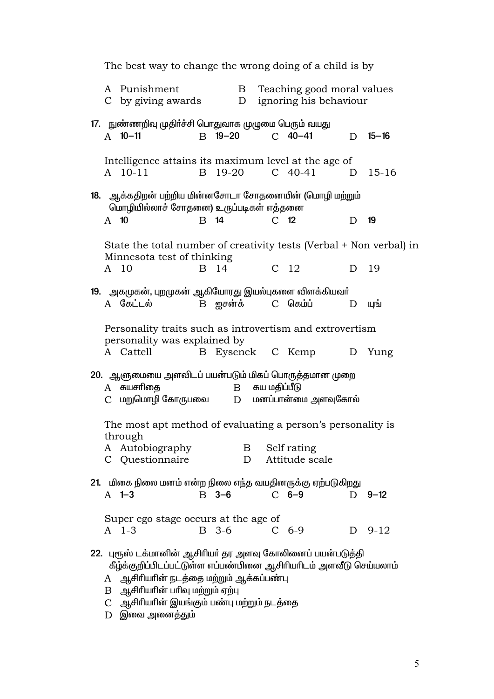| The best way to change the wrong doing of a child is by |                                                                                                                                                                                                                                                              |             |                   |  |                 |                                                      |   |           |
|---------------------------------------------------------|--------------------------------------------------------------------------------------------------------------------------------------------------------------------------------------------------------------------------------------------------------------|-------------|-------------------|--|-----------------|------------------------------------------------------|---|-----------|
|                                                         | A Punishment<br>C by giving awards                                                                                                                                                                                                                           |             | B<br>D            |  |                 | Teaching good moral values<br>ignoring his behaviour |   |           |
|                                                         | 17. நுண்ணறிவு முதிா்ச்சி பொதுவாக முழுமை பெரும் வயது<br>$A$ 10-11                                                                                                                                                                                             |             | $B$ 19-20         |  |                 | $C$ 40-41                                            | D | $15 - 16$ |
|                                                         | Intelligence attains its maximum level at the age of<br>A 10-11                                                                                                                                                                                              | B           | 19-20             |  |                 | $C$ 40-41                                            | D | $15 - 16$ |
| $A$ 10                                                  | 18. ஆக்கதிறன் பற்றிய மின்னசோடா சோதனையின் (மொழி மற்றும்<br>மொழியில்லாச் சோதனை) உருப்படிகள் எத்தனை                                                                                                                                                             | <b>B</b> 14 |                   |  | C <sub>12</sub> |                                                      | D | 19        |
|                                                         | State the total number of creativity tests (Verbal + Non verbal) in<br>Minnesota test of thinking                                                                                                                                                            |             |                   |  |                 |                                                      |   |           |
|                                                         | A 10                                                                                                                                                                                                                                                         |             | B 14              |  |                 | C <sub>12</sub>                                      | D | 19        |
|                                                         | 19. அகமுகன், புறமுகன் ஆகியோரது இயல்புகளை விளக்கியவா்<br>A கேட்டல்                                                                                                                                                                                            |             | B ஐசன்க் C கெம்ப் |  |                 |                                                      | D | யுங்      |
|                                                         | Personality traits such as introvertism and extrovertism                                                                                                                                                                                                     |             |                   |  |                 |                                                      |   |           |
|                                                         | personality was explained by<br>A Cattell                                                                                                                                                                                                                    |             | B Eysenck C Kemp  |  |                 |                                                      | D | Yung      |
|                                                         | 20. ஆளுமையை அளவிடப் பயன்படும் மிகப் பொருத்தமான முறை<br>A சுயசரிதை<br>$C$ மறுமொழி கோருபவை $D$ மனப்பான்மை அளவுகோல்                                                                                                                                             |             | B சுய மதிப்பீடு   |  |                 |                                                      |   |           |
|                                                         | The most apt method of evaluating a person's personality is                                                                                                                                                                                                  |             |                   |  |                 |                                                      |   |           |
|                                                         | through                                                                                                                                                                                                                                                      |             |                   |  |                 |                                                      |   |           |
|                                                         | A Autobiography<br>C Questionnaire                                                                                                                                                                                                                           |             | D                 |  |                 | B Self rating<br>Attitude scale                      |   |           |
|                                                         | 21. மிகை நிலை மனம் என்ற நிலை எந்த வயதினருக்கு ஏற்படுகிறது<br>$A$ 1-3                                                                                                                                                                                         |             | $B$ 3-6           |  |                 | $C$ 6-9                                              | D | $9 - 12$  |
|                                                         | Super ego stage occurs at the age of<br>$A$ 1-3                                                                                                                                                                                                              |             | B 3-6             |  |                 | $C_{6-9}$                                            | D | $9 - 12$  |
| A                                                       | 22. புரூஸ் டக்மானின் ஆசிரியா் தர அளவு கோலினைப் பயன்படுத்தி<br>கீழ்க்குறிப்பிடப்பட்டுள்ள எப்பண்பினை ஆசிரியரிடம் அளவீடு செய்யலாம்<br>ஆசிரியரின் நடத்தை மற்றும் ஆக்கப்பண்பு<br>$B$ ஆசிரியரின் பரிவு மற்றும் ஏற்பு<br>C ஆசிரியரின் இயங்கும் பண்பு மற்றும் நடத்தை |             |                   |  |                 |                                                      |   |           |

 ${\rm D}$  இவை அனைத்தும்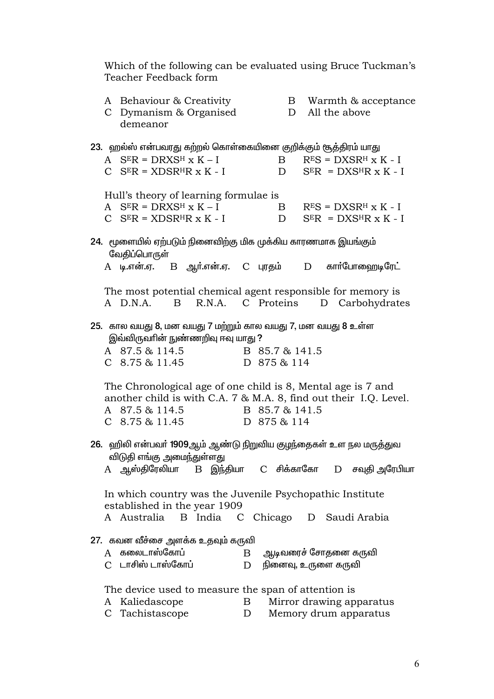Which of the following can be evaluated using Bruce Tuckman's Teacher Feedback form

|   | demeanor                      | A Behaviour & Creativity<br>C Dymanism & Organised                                                |    |             | B Warmth & acceptance<br>D All the above                                                                                          |  |
|---|-------------------------------|---------------------------------------------------------------------------------------------------|----|-------------|-----------------------------------------------------------------------------------------------------------------------------------|--|
|   |                               |                                                                                                   |    |             | 23. ஹல்ஸ் என்பவரது கற்றல் கொள்கையினை குறிக்கும் சூத்திரம் யாது                                                                    |  |
|   |                               | A $S^{E}R = DRXS^{H} x K - I$                                                                     |    |             | $B$ $RES = DXSRH X K - I$                                                                                                         |  |
|   |                               |                                                                                                   |    |             | $C$ SER = XDSR <sup>H</sup> R x K - I D SER = DXS <sup>H</sup> R x K - I                                                          |  |
|   |                               |                                                                                                   |    |             |                                                                                                                                   |  |
|   |                               | Hull's theory of learning formulae is                                                             |    |             |                                                                                                                                   |  |
|   | A $S^{E}R = DRXS^{H} x K - I$ |                                                                                                   |    |             | $B$ $RES = DXSRH x K - I$                                                                                                         |  |
|   |                               |                                                                                                   |    |             | $C$ SER = XDSR <sup>H</sup> R x K - I D SER = DXS <sup>H</sup> R x K - I                                                          |  |
|   | வேதிப்பொருள்                  | 24.   மூளையில் ஏற்படும் நினைவிற்கு மிக முக்கிய காரணமாக இயங்கும்                                   |    |             |                                                                                                                                   |  |
|   |                               |                                                                                                   |    |             | A டி.என்.ஏ. B ஆர்.என்.ஏ. C புரதம் D கார்போஹைடிரேட்                                                                                |  |
|   |                               |                                                                                                   |    |             |                                                                                                                                   |  |
|   |                               |                                                                                                   |    |             | The most potential chemical agent responsible for memory is                                                                       |  |
|   | A D.N.A.                      |                                                                                                   |    |             | B R.N.A. C Proteins D Carbohydrates                                                                                               |  |
|   |                               | 25. கால வயது 8, மன வயது 7 மற்றும் கால வயது 7, மன வயது 8 உள்ள<br>இவ்விருவாின் நுண்ணறிவு ஈவு யாது ? |    |             |                                                                                                                                   |  |
|   |                               | A 87.5 & 114.5 B 85.7 & 141.5                                                                     |    |             |                                                                                                                                   |  |
|   | $C$ 8.75 & 11.45              |                                                                                                   |    | D 875 & 114 |                                                                                                                                   |  |
|   |                               | A 87.5 & 114.5 B 85.7 & 141.5<br>C 8.75 & 11.45 D 875 & 114                                       |    |             | The Chronological age of one child is 8, Mental age is 7 and<br>another child is with C.A. 7 & M.A. 8, find out their I.Q. Level. |  |
|   |                               |                                                                                                   |    |             | 26. ஹிலி என்பவா் 1909ஆம் ஆண்டு நிறுவிய குழந்தைகள் உள நல மருத்துவ                                                                  |  |
|   |                               | விடுதி எங்கு அமைந்துள்ளது                                                                         |    |             |                                                                                                                                   |  |
|   |                               |                                                                                                   |    |             | $\rm A$ ஆஸ்திரேலியா $\rm B$ இந்தியா $\rm C$ சிக்காகோ $\rm D$ சவுதி அரேபியா                                                        |  |
|   |                               | established in the year 1909                                                                      |    |             | In which country was the Juvenile Psychopathic Institute                                                                          |  |
|   |                               | A Australia B India C Chicago                                                                     |    |             | D Saudi Arabia                                                                                                                    |  |
|   |                               | 27. கவன வீச்சை அளக்க உதவும் கருவி                                                                 |    |             |                                                                                                                                   |  |
|   | A கலைடாஸ்கோப்                 |                                                                                                   | B. |             | ஆடிவரைச் சோதனை கருவி                                                                                                              |  |
|   | C டாசிஸ் டாஸ்கோப்             |                                                                                                   | D  |             | நினைவு, உருளை கருவி                                                                                                               |  |
|   |                               |                                                                                                   |    |             |                                                                                                                                   |  |
|   |                               | The device used to measure the span of attention is                                               |    |             |                                                                                                                                   |  |
|   | A Kaliedascope                |                                                                                                   | B  |             | Mirror drawing apparatus                                                                                                          |  |
| C | Tachistascope                 |                                                                                                   | D  |             | Memory drum apparatus                                                                                                             |  |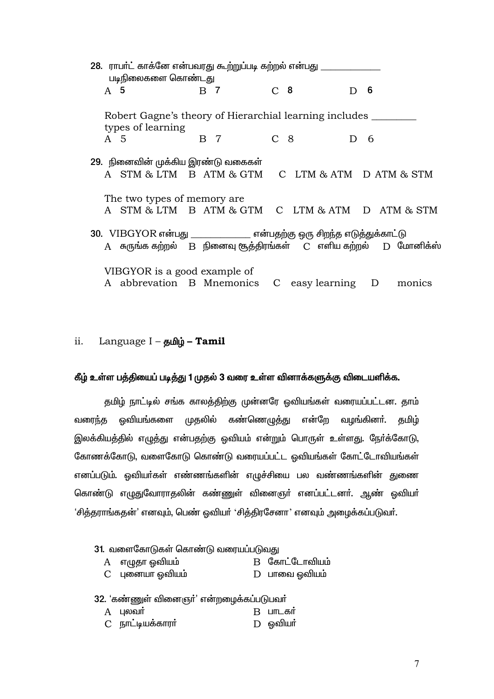| 28. ராபா்ட் காக்னே என்பவரது கூற்றுப்படி கற்றல் என்பது ___<br>படிநிலைகளை கொண்டது |     |                 |                                                                                 |
|---------------------------------------------------------------------------------|-----|-----------------|---------------------------------------------------------------------------------|
| A 5                                                                             | B 7 | C <sub>8</sub>  | 6<br>D.                                                                         |
| Robert Gagne's theory of Hierarchial learning includes<br>types of learning     |     |                 |                                                                                 |
| A 5                                                                             | B 7 | C <sub>8</sub>  | $D \quad 6$                                                                     |
| 29. நினைவின் முக்கிய இரண்டு வகைகள்                                              |     |                 |                                                                                 |
| A STM & LTM B ATM & GTM                                                         |     |                 | C LTM & ATM D ATM & STM                                                         |
| The two types of memory are.                                                    |     |                 |                                                                                 |
|                                                                                 |     |                 | A STM & LTM B ATM & GTM C LTM & ATM D ATM & STM                                 |
| 30. VIBGYOR என்பது ______________ என்பதற்கு ஒரு சிறந்த எடுத்துக்காட்டு          |     |                 |                                                                                 |
| A                                                                               |     |                 | சுருங்க கற்றல்     B   நினைவு சூத்திரங்கள்     C   எளிய கற்றல்     D   மோனிக்ஸ் |
| VIBGYOR is a good example of                                                    |     |                 |                                                                                 |
| A abbrevation B Mnemonics                                                       |     | C easy learning | D<br>monics                                                                     |

### Language I - தமிழ் - Tamil ii.

## கீழ் உள்ள பத்தியைப் படித்து 1 முதல் 3 வரை உள்ள வினாக்களுக்கு விடையளிக்க.

தமிழ் நாட்டில் சங்க காலத்திற்கு முன்னரே ஓவியங்கள் வரையப்பட்டன. தாம் ஒவியங்களை முதலில் கண்ணெழுத்து வழங்கினா். தமிழ் வரைந்த என்றே இலக்கியத்தில் எழுத்து என்பதற்கு ஓவியம் என்றும் பொருள் உள்ளது. நேர்க்கோடு, கோணக்கோடு, வளைகோடு கொண்டு வரையப்பட்ட ஒவியங்கள் கோட்டோவியங்கள் எனப்படும். ஒவியா்கள் எண்ணங்களின் எழுச்சியை பல வண்ணங்களின் துணை கொண்டு எழுதுவோராதலின் கண்ணுள் வினைஞா் எனப்பட்டனா். ஆண் ஓவியா் 'சித்தராங்கதன்' எனவும், பெண் ஒவியர் 'சித்திரசேனா' எனவும் அழைக்கப்படுவர்.

- 31. வளைகோடுகள் கொண்டு வரையப்படுவது
	- A எழுதா ஒவியம் B கோட்டோவியம்
	- C புனையா ஓவியம்  $D$  பாவை ஒவியம்

32. 'கண்ணுள் வினைஞர்' என்றமைக்கப்படுபவர்

- $A$  பலவா்  $B$   $L$   $m$  $L$   $\sigma$  $\dot{m}$
- C நாட்டியக்காரர்  $D$  ஒவியா்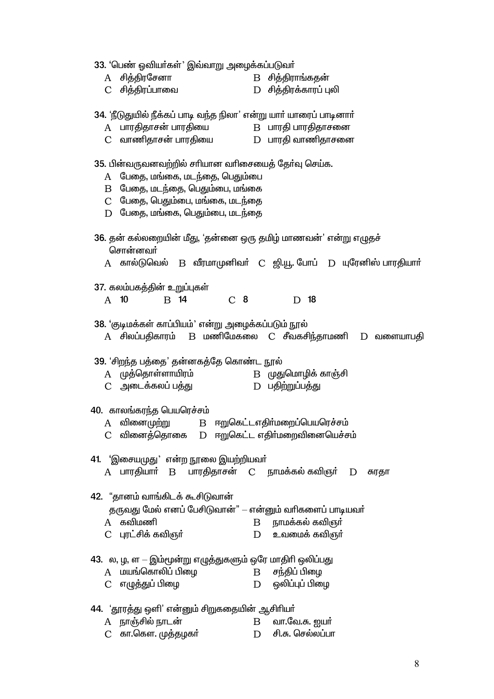33. 'பெண் ஓவியர்கள்' இவ்வாறு அழைக்கப்படுவர்

| A             | சித்திரசேனா                                                                | B சித்திராங்கதன்                                               |
|---------------|----------------------------------------------------------------------------|----------------------------------------------------------------|
| $\mathcal{C}$ | சித்திரப்பாவை                                                              | D சித்திரக்காரப் புலி                                          |
|               | 34. 'நீடுதுயில் நீக்கப் பாடி வந்த நிலா' என்று யாா் யாரைப் பாடினாா்         |                                                                |
|               | A பாரதிதாசன் பாரதியை B பாரதி பாரதிதாசனை                                    |                                                                |
|               | $C$ வாணிதாசன் பாரதியை $D$ பாரதி வாணிதாசனை                                  |                                                                |
|               |                                                                            |                                                                |
|               | 35. பின்வருவனவற்றில் சாியான வாிசையைத் தோ்வு செய்க.                         |                                                                |
|               | A பேதை, மங்கை, மடந்தை, பெதும்பை                                            |                                                                |
|               | $B$ பேதை, மடந்தை, பெதும்பை, மங்கை                                          |                                                                |
|               | C பேதை, பெதும்பை, மங்கை, மடந்தை                                            |                                                                |
|               | D பேதை, மங்கை, பெதும்பை, மடந்தை                                            |                                                                |
|               | 36. தன் கல்லறையின் மீது, 'தன்னை ஒரு தமிழ் மாணவன்' என்று எழுதச்<br>சொன்னவா் |                                                                |
|               |                                                                            | A கால்டுவெல் B வீரமாமுனிவா் C ஜி.யூ. போப் D யுரேனிஸ் பாரதியாா் |
|               | 37. கலம்பகத்தின் உறுப்புகள்                                                |                                                                |
|               | C <sub>8</sub><br>A 10<br>B 14                                             | 18<br>D                                                        |
|               |                                                                            |                                                                |
|               | 38. 'குடிமக்கள் காப்பியம்' என்று அழைக்கப்படும் நூல்                        |                                                                |
|               |                                                                            | A சிலப்பதிகாரம் B மணிமேகலை C சீவகசிந்தாமணி D வளையாபதி          |
|               |                                                                            |                                                                |
|               | 39. 'சிறந்த பத்தை' தன்னகத்தே கொண்ட நூல்<br>A முத்தொள்ளாயிரம்               | B முதுமொழிக் காஞ்சி                                            |
|               | C    அடைக்கலப் பத்து                                                       | D பதிற்றுப்பத்து                                               |
|               |                                                                            |                                                                |
|               | 40. காலங்கரந்த பெயரெச்சம்                                                  |                                                                |
|               | A வினைமுற்று  B ஈறுகெட்டஎதிா்மறைப்பெயரெச்சம்                               |                                                                |
| $\mathcal{C}$ | வினைத்தொகை D ஈறுகெட்ட எதிா்்மறைவினையெச்சம்                                 |                                                                |
|               |                                                                            |                                                                |
|               | 41. 'இசையமுது' என்ற நூலை இயற்றியவா்                                        |                                                                |
|               | A பாரதியாா் B பாரதிதாசன் C நாமக்கல் கவிஞா் D சுரதா                         |                                                                |
|               | 42. "தானம் வாங்கிடக் கூசிடுவான்                                            |                                                                |
|               | தருவது மேல் எனப் பேசிடுவான்" – என்னும் வரிகளைப் பாடியவர்                   |                                                                |
|               | A கவிமணி                                                                   | $B$ நாமக்கல் கவிஞர்                                            |
|               | C புரட்சிக் கவிஞர்                                                         | $D$ உவமைக் கவிஞர்                                              |
|               |                                                                            |                                                                |
|               | 43. ல, ழ, ள — இம்மூன்று எழுத்துகளும் ஒரே மாதிாி ஒலிப்பது                   |                                                                |
|               | A மயங்கொலிப் பிழை                                                          | B சந்திப் பிழை                                                 |
| $\mathcal{C}$ | எழுத்துப் பிழை                                                             | $D$ ஒலிப்புப் பிழை                                             |
|               |                                                                            |                                                                |

- -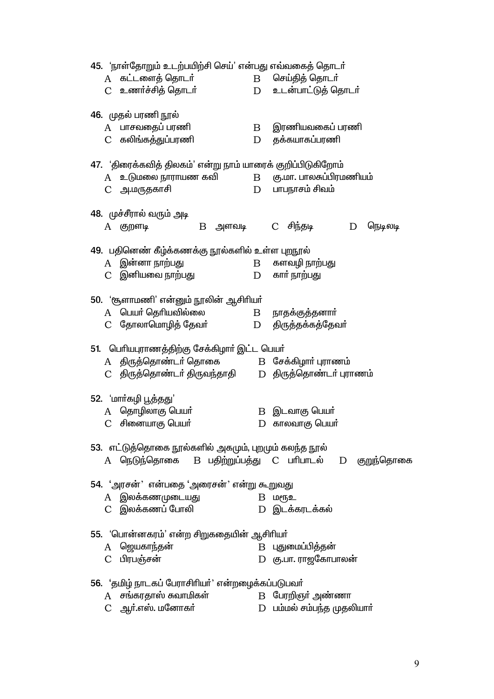45. 'நாள்தோறும் உடற்பயிற்சி செய்' என்பது எவ்வகைத் தொடர் A கட்டளைக் கொடர் செய்திக் கொடர்  $\mathbf{B}$ C உணர்ச்சித் தொடர் உடன்பாட்டுக் தொடர்  $D$ 46. முதல் பரணி நூல் இரணியவகைப் பரணி A பாசவதைப் பரணி  $\mathbf{B}$ C கலிங்கத்துப்பரணி D தக்கயாகப்பரணி 47. 'திரைக்கவித் திலகம்' என்று நாம் யாரைக் குறிப்பிடுகிறோம் A உடுமலை நாராயண கவி கு.மா. பாலசுப்பிரமணியம்  $\mathbf{B}$  $D$ பாபநாசம் சிவம் C அ.மருதகாசி 48. முச்சீரால் வரும் அடி A குறளடி  $B$  அளவடி  $\mathcal{C}$ சிந்தடி நெடிலடி D 49. பதினெண் கீழ்க்கணக்கு நூல்களில் உள்ள புறநூல் A இன்னா நாற்பது களவழி நாற்பது  $\mathbf{B}$ C இனியவை நாற்பது D காா் நாற்பது 50. 'சூளாமணி' என்னும் நூலின் ஆசிரியா் A பெயர் தெரியவில்லை நாதக்குத்தனார்  $\mathbf{B}$  $\mathbf{D}$ C தோலாமொழித் தேவர் திருத்தக்கத்தேவர் 51. பெரியபுராணத்திற்கு சேக்கிழார் இட்ட பெயர் A திருத்தொண்டர் தொகை B சேக்கிழாா் புராணம் C திருத்தொண்டா் திருவந்தாதி D திருத்தொண்டர் புராணம் 52. 'மார்கழி பூத்தது' A தொழிலாகு பெயர் В இடவாகு பெயர் C சினையாகு பெயர்  $D$  காலவாகு பெயர் 53. எட்டுத்தொகை நூல்களில் அகமும், புறமும் கலந்த நூல் B பதிற்றுப்பத்து C பாிபாடல்  $A$  ொடுந்தொகை குறுந்தொகை D 54. 'அரசன்' என்பதை 'அரைசன்' என்று கூறுவது A இலக்கணமுடையது  $B$  шеҧ $2$ C இலக்கணப் போலி D இடக்கரடக்கல் 55. 'பொன்னகரம்' என்ற சிறுகதையின் ஆசிரியர் B புதுமைப்பித்தன் A ஜெயகாந்தன் D கு.பா. ராஜகோபாலன் C பிரபஞ்சன் 56. 'தமிழ் நாடகப் பேராசிரியர்' என்றழைக்கப்படுபவர் A சங்காகாஸ் சுவாமிகள் B பேரறிஞர் அண்ணா

C ஆர்.எஸ். மனோகர்  $D$  பம்மல் சம்பந்த முதலியார்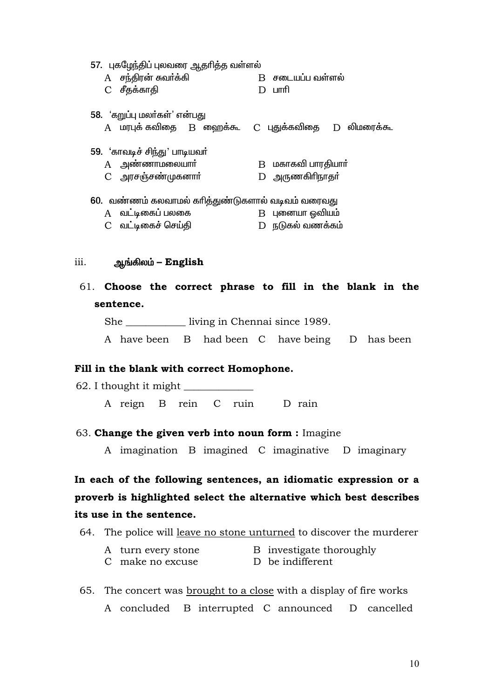| 57. புகழேந்திப் புலவரை ஆதாித்த வள்ளல்<br>A சந்திரன் சுவர்க்கி<br>C சீதக்காதி      | D | $B$ சடையப்ப வள்ளல்<br>⊔ाπाी             |  |  |  |  |  |
|-----------------------------------------------------------------------------------|---|-----------------------------------------|--|--|--|--|--|
| 58. 'கறுப்பு மலா்கள்' என்பது<br>A மரபுக் கவிதை B ஹைக்கூ C புதுக்கவிதை D லிமரைக்கூ |   |                                         |  |  |  |  |  |
| 59. 'காவடிச் சிந்து' பாடியவா்<br>$A$ அண்ணாமலையாா்<br>C அரசஞ்சண்முகனார்            |   | $B$ மகாகவி பாரதியாா்<br>D அருணகிரிநாதர் |  |  |  |  |  |
| 60. வண்ணம் கலவாமல் காித்துண்டுகளால் வடிவம் வரைவது                                 |   |                                         |  |  |  |  |  |
| A வட்டிகைப் பலகை                                                                  |   | B புனையா ஓவியம்                         |  |  |  |  |  |
| C வட்டிகைச் செய்தி                                                                |   | D நடுகல் வணக்கம்                        |  |  |  |  |  |

### $iii.$ ஆங்கிலம் – English

61. Choose the correct phrase to fill in the blank in the sentence.

She \_\_\_\_\_\_\_\_\_\_\_\_ living in Chennai since 1989.

A have been B had been C have being D has been

## Fill in the blank with correct Homophone.

62. I thought it might \_\_\_\_\_ A reign B rein C ruin D rain

## 63. Change the given verb into noun form : Imagine

A imagination B imagined C imaginative D imaginary

In each of the following sentences, an idiomatic expression or a proverb is highlighted select the alternative which best describes its use in the sentence.

64. The police will leave no stone unturned to discover the murderer

| A turn every stone | B investigate thoroughly |
|--------------------|--------------------------|
| C make no excuse   | D be indifferent         |

65. The concert was brought to a close with a display of fire works A concluded B interrupted C announced D cancelled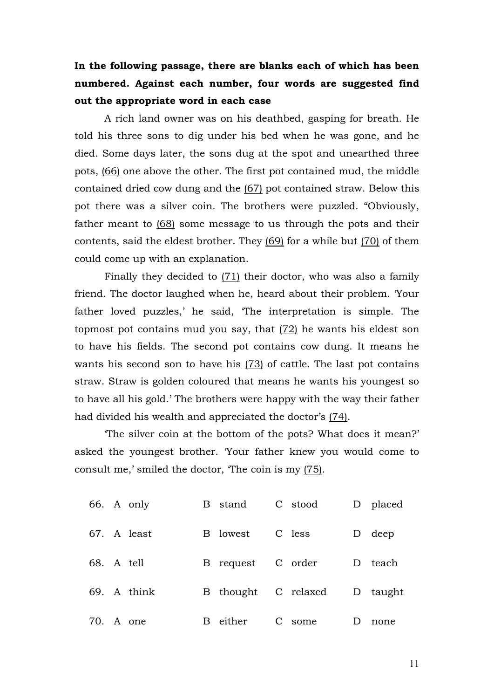# **In the following passage, there are blanks each of which has been numbered. Against each number, four words are suggested find out the appropriate word in each case**

A rich land owner was on his deathbed, gasping for breath. He told his three sons to dig under his bed when he was gone, and he died. Some days later, the sons dug at the spot and unearthed three pots, (66) one above the other. The first pot contained mud, the middle contained dried cow dung and the (67) pot contained straw. Below this pot there was a silver coin. The brothers were puzzled. "Obviously, father meant to (68) some message to us through the pots and their contents, said the eldest brother. They (69) for a while but (70) of them could come up with an explanation.

Finally they decided to (71) their doctor, who was also a family friend. The doctor laughed when he, heard about their problem. 'Your father loved puzzles,' he said, 'The interpretation is simple. The topmost pot contains mud you say, that  $(72)$  he wants his eldest son to have his fields. The second pot contains cow dung. It means he wants his second son to have his (73) of cattle. The last pot contains straw. Straw is golden coloured that means he wants his youngest so to have all his gold.' The brothers were happy with the way their father had divided his wealth and appreciated the doctor's (74).

'The silver coin at the bottom of the pots? What does it mean?' asked the youngest brother. 'Your father knew you would come to consult me,' smiled the doctor, 'The coin is my (75).

|            | 66. A only  | B stand             | C stood |   | D placed |
|------------|-------------|---------------------|---------|---|----------|
|            | 67. A least | B lowest            | C less  |   | D deep   |
| 68. A tell |             | B request C order   |         | D | teach    |
|            | 69. A think | B thought C relaxed |         |   | D taught |
|            | 70. A one   | B either            | C some  |   | none     |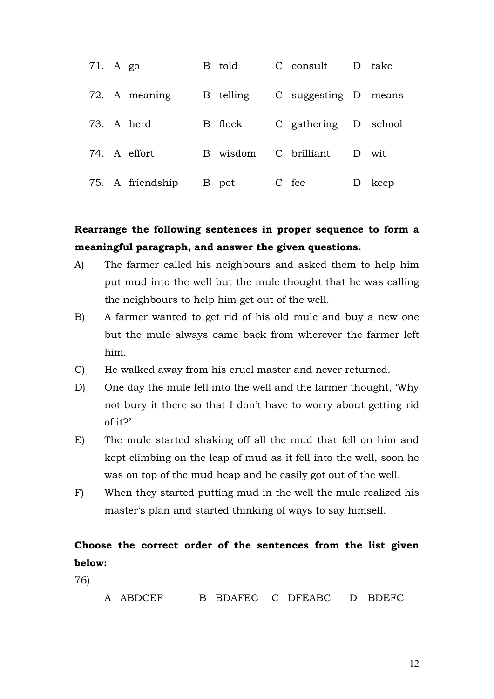| 71. A go |                  | B told    | C consult            | D take |
|----------|------------------|-----------|----------------------|--------|
|          | 72. A meaning    | B telling | C suggesting D means |        |
|          | 73. A herd       | B flock   | C gathering D school |        |
|          | 74. A effort     | B wisdom  | C brilliant          | D wit  |
|          | 75. A friendship | B pot     | C fee                | keep   |

# **Rearrange the following sentences in proper sequence to form a meaningful paragraph, and answer the given questions.**

- A) The farmer called his neighbours and asked them to help him put mud into the well but the mule thought that he was calling the neighbours to help him get out of the well.
- B) A farmer wanted to get rid of his old mule and buy a new one but the mule always came back from wherever the farmer left him.
- C) He walked away from his cruel master and never returned.
- D) One day the mule fell into the well and the farmer thought, 'Why not bury it there so that I don't have to worry about getting rid of it?'
- E) The mule started shaking off all the mud that fell on him and kept climbing on the leap of mud as it fell into the well, soon he was on top of the mud heap and he easily got out of the well.
- F) When they started putting mud in the well the mule realized his master's plan and started thinking of ways to say himself.

# **Choose the correct order of the sentences from the list given below:**

76)

A ABDCEF B BDAFEC C DFEABC D BDEFC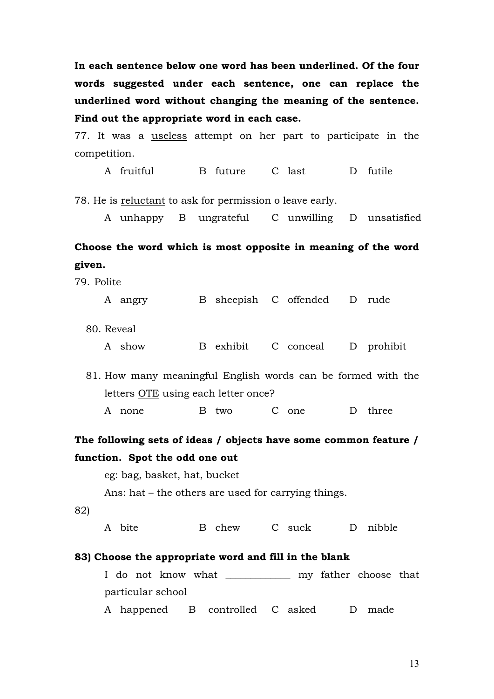**In each sentence below one word has been underlined. Of the four words suggested under each sentence, one can replace the underlined word without changing the meaning of the sentence. Find out the appropriate word in each case.**

77. It was a useless attempt on her part to participate in the competition.

A fruitful B future C last D futile

78. He is reluctant to ask for permission o leave early.

A unhappy B ungrateful C unwilling D unsatisfied

# **Choose the word which is most opposite in meaning of the word given.**

| 79. Polite                                                       |                                                              |  |       |  |                                |   |       |
|------------------------------------------------------------------|--------------------------------------------------------------|--|-------|--|--------------------------------|---|-------|
|                                                                  | A angry                                                      |  |       |  | B sheepish C offended D rude   |   |       |
| 80. Reveal                                                       |                                                              |  |       |  |                                |   |       |
|                                                                  | A show                                                       |  |       |  | B exhibit C conceal D prohibit |   |       |
|                                                                  | 81. How many meaningful English words can be formed with the |  |       |  |                                |   |       |
|                                                                  | letters OTE using each letter once?                          |  |       |  |                                |   |       |
|                                                                  | A none                                                       |  | B two |  | C one                          | D | three |
| The following sets of ideas / objects have some common feature / |                                                              |  |       |  |                                |   |       |

# **function. Spot the odd one out**

eg: bag, basket, hat, bucket Ans: hat – the others are used for carrying things. 82) A bite B chew C suck D nibble **83) Choose the appropriate word and fill in the blank** I do not know what \_\_\_\_\_\_\_\_\_\_\_\_\_ my father choose that particular school A happened B controlled C asked D made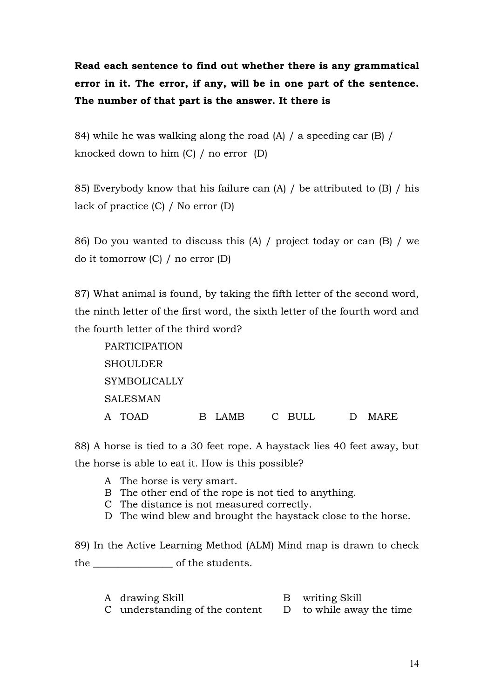# **Read each sentence to find out whether there is any grammatical error in it. The error, if any, will be in one part of the sentence. The number of that part is the answer. It there is**

84) while he was walking along the road (A) / a speeding car (B) / knocked down to him (C) / no error (D)

85) Everybody know that his failure can (A) / be attributed to (B) / his lack of practice (C) / No error (D)

86) Do you wanted to discuss this (A) / project today or can (B) / we do it tomorrow (C) / no error (D)

87) What animal is found, by taking the fifth letter of the second word, the ninth letter of the first word, the sixth letter of the fourth word and the fourth letter of the third word?

| PARTICIPATION   |               |                |
|-----------------|---------------|----------------|
| SHOULDER        |               |                |
| SYMBOLICALLY    |               |                |
| <b>SALESMAN</b> |               |                |
| A TOAD          | B LAMB C BULL | MARE<br>$\Box$ |

88) A horse is tied to a 30 feet rope. A haystack lies 40 feet away, but the horse is able to eat it. How is this possible?

- A The horse is very smart.
- B The other end of the rope is not tied to anything.
- C The distance is not measured correctly.
- D The wind blew and brought the haystack close to the horse.

89) In the Active Learning Method (ALM) Mind map is drawn to check the \_\_\_\_\_\_\_\_\_\_\_\_\_\_\_\_ of the students.

A drawing Skill B writing Skill C understanding of the content  $D$  to while away the time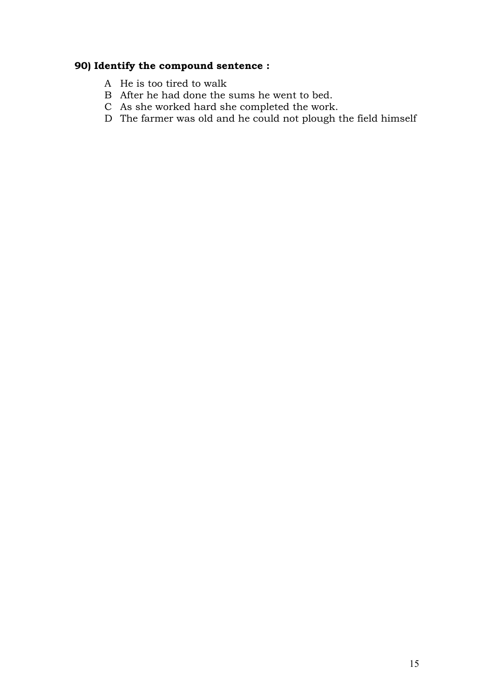## **90) Identify the compound sentence :**

- A He is too tired to walk
- B After he had done the sums he went to bed.
- C As she worked hard she completed the work.
- D The farmer was old and he could not plough the field himself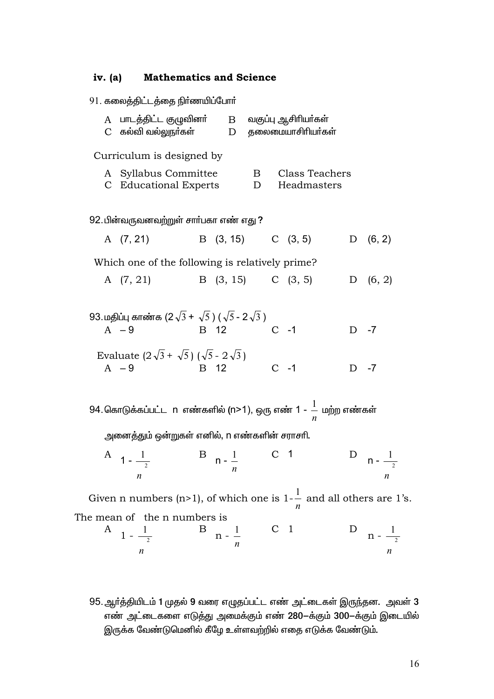### iv.  $(a)$ **Mathematics and Science**

|   | 91. கலைத்திட்டத்தை நிா்ணயிப்போா்                                                                       |                        |                   |        |                |                               |        |                                         |
|---|--------------------------------------------------------------------------------------------------------|------------------------|-------------------|--------|----------------|-------------------------------|--------|-----------------------------------------|
| A | பாடத்திட்ட குழுவினா்        B      வகுப்பு ஆசிாியா்கள்<br>$C$ கல்வி வல்லுநா்கள் $D$ தலைமையாசிாியா்கள்  |                        |                   |        |                |                               |        |                                         |
|   | Curriculum is designed by                                                                              |                        |                   |        |                |                               |        |                                         |
|   | A Syllabus Committee<br>C Educational Experts                                                          |                        |                   | B<br>D |                | Class Teachers<br>Headmasters |        |                                         |
|   | 92. பின்வருவனவற்றுள் சாா்பகா எண் எது ?                                                                 |                        |                   |        |                |                               |        |                                         |
|   | A (7, 21)                                                                                              | B $(3, 15)$ C $(3, 5)$ |                   |        |                |                               |        | D (6, 2)                                |
|   | Which one of the following is relatively prime?                                                        |                        |                   |        |                |                               |        |                                         |
|   | A (7, 21)                                                                                              | B (3, 15) C (3, 5)     |                   |        |                |                               |        | D $(6, 2)$                              |
|   |                                                                                                        |                        |                   |        |                |                               |        |                                         |
|   | 93. மதிப்பு காண்க (2 $\sqrt{3}$ + $\sqrt{5}$ ) ( $\sqrt{5}$ - 2 $\sqrt{3}$ )<br><b>B</b> 12<br>$A - 9$ |                        |                   |        | $C -1$         |                               | $D -7$ |                                         |
|   |                                                                                                        |                        |                   |        |                |                               |        |                                         |
|   | Evaluate $(2\sqrt{3} + \sqrt{5}) (\sqrt{5} - 2\sqrt{3})$<br>$A - 9$                                    | B 12                   |                   |        | $C -1$         |                               | $D -7$ |                                         |
|   |                                                                                                        |                        |                   |        |                |                               |        |                                         |
|   | 94. கொடுக்கப்பட்ட  n  எண்களில் (n>1), ஒரு எண் 1 - $\frac{1}{n}$ மற்ற எண்கள்                            |                        |                   |        |                |                               |        |                                         |
|   | அனைத்தும் ஒன்றுகள் எனில், n எண்களின் சராசாி.                                                           |                        |                   |        |                |                               |        |                                         |
|   | $\mathbf{B} \quad \mathbf{n} \cdot \frac{1}{2}$<br>A $1 - \frac{1}{2}$<br>$\boldsymbol{n}$             |                        |                   |        | $\mathsf{C}$   |                               |        | D $n - \frac{1}{2}$<br>$\boldsymbol{n}$ |
|   | Given n numbers (n>1), of which one is $1-\frac{1}{2}$ and all others are 1                            |                        |                   |        |                |                               |        |                                         |
|   | The mean of the n numbers is                                                                           |                        |                   |        |                | n                             |        |                                         |
|   | A $1 - \frac{1}{2}$                                                                                    | B                      | $n - \frac{1}{2}$ |        | C <sub>1</sub> |                               |        | D $n - \frac{1}{2}$                     |
|   | n                                                                                                      |                        |                   |        |                |                               |        | n                                       |

95. ஆர்த்தியிடம் 1 முதல் 9 வரை எழுதப்பட்ட எண் அட்டைகள் இருந்தன. அவள் 3 எண் அட்டைகளை எடுத்து அமைக்கும் எண் 280-க்கும் 300–க்கும் இடையில் இருக்க வேண்டுமெனில் கீழே உள்ளவற்றில் எதை எடுக்க வேண்டும்.

 $1's.$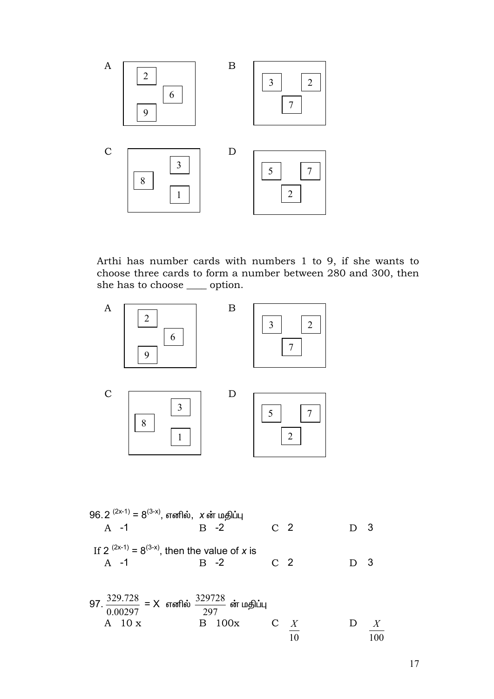

Arthi has number cards with numbers 1 to 9, if she wants to choose three cards to form a number between 280 and 300, then she has to choose \_\_\_\_\_ option.



96. 2 
$$
(2x-1) = 8(3-x)
$$
,  $x \sin \theta$  with  
\nA -1  
\nB -2  
\nC 2  
\nD 3  
\nIf 2  $(2x-1) = 8(3-x)$ , then the value of x is  
\nA -1  
\nB -2  
\nC 2  
\nD 3

97. 
$$
\frac{329.728}{0.00297} = X
$$
 araflêx  $\frac{329728}{297}$ êr uaflîu  
A 10 x  
B 100x  
C X  
10  
X  
10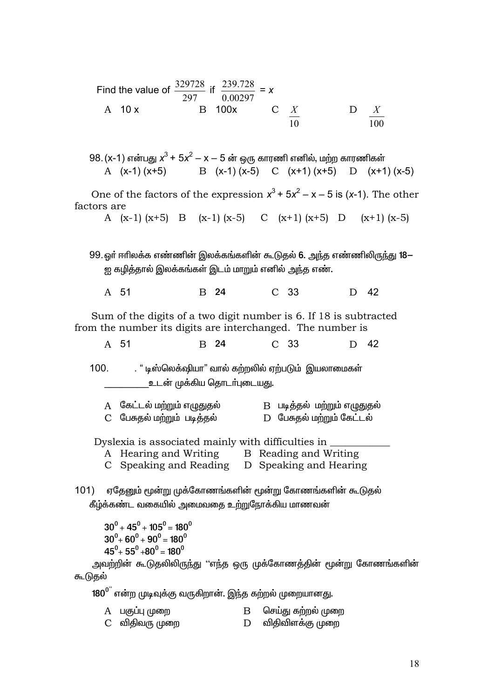Find the value of 
$$
\frac{329728}{297}
$$
 if  $\frac{239.728}{0.00297} = x$   
A 10 x B 100x C  $\frac{X}{10}$  D  $\frac{X}{100}$ 

98. (x-1) என்பது  $x^3 + 5x^2 - x - 5$  ன் ஒரு காரணி எனில், மற்ற காரணிகள் B  $(x-1)(x-5)$  C  $(x+1)(x+5)$ A  $(x-1)(x+5)$ D  $(x+1)(x-5)$ 

One of the factors of the expression  $x^3 + 5x^2 - x - 5$  is (x-1). The other factors are

A  $(x-1)(x+5)$  B  $(x-1)(x-5)$  C  $(x+1)(x+5)$  D  $(x+1)$   $(x-5)$ 

99. லா் ஈாிலக்க எண்ணின் இலக்கங்களின் கூடுதல் 6. அந்த எண்ணிலிருந்து 18— ஐ கழித்தால் இலக்கங்கள் இடம் மாறும் எனில் அந்த எண்.

A 51 B 24  $C<sub>33</sub>$ D 42

Sum of the digits of a two digit number is 6. If 18 is subtracted from the number its digits are interchanged. The number is

| B 24<br>A 51 | C 33 | D 42 |
|--------------|------|------|
|--------------|------|------|

 $100.$ . " டிஸ்லெக்ஷியா" வால் கற்றலில் ஏற்படும் இயலாமைகள் உடன் முக்கிய தொடர்புடையது.

| A    கேட்டல் மற்றும் எழுதுதல்  | B படித்தல் மற்றும் எழுதுதல் |
|--------------------------------|-----------------------------|
| C    பேசுதல் மற்றும்  படித்தல் | D பேசுதல் மற்றும் கேட்டல்   |

Dyslexia is associated mainly with difficulties in

- A Hearing and Writing B Reading and Writing
- C Speaking and Reading D Speaking and Hearing

101) ஏதேனும் மூன்று முக்கோணங்களின் மூன்று கோணங்களின் கூடுதல் கீழ்க்கண்ட வகையில் அமைவகை உற்றுநோக்கிய மாணவன்

 $30^0 + 45^0 + 105^0 = 180^0$  $30^0 + 60^0 + 90^0 = 180^0$  $45^0 + 55^0 + 80^0 = 180^0$ 

அவற்றின் கூடுதலிலிருந்து ''எந்த ஒரு முக்கோணத்தின் மூன்று கோணங்களின் கூடுதல்

 $180^0$ " என்ற முடிவக்கு வருகிறான். இந்த கற்றல் முறையானது.

| A பகுப்பு முறை | செய்து கற்றல் முறை |
|----------------|--------------------|
| C விதிவரு முறை | D விதிவிளக்கு முறை |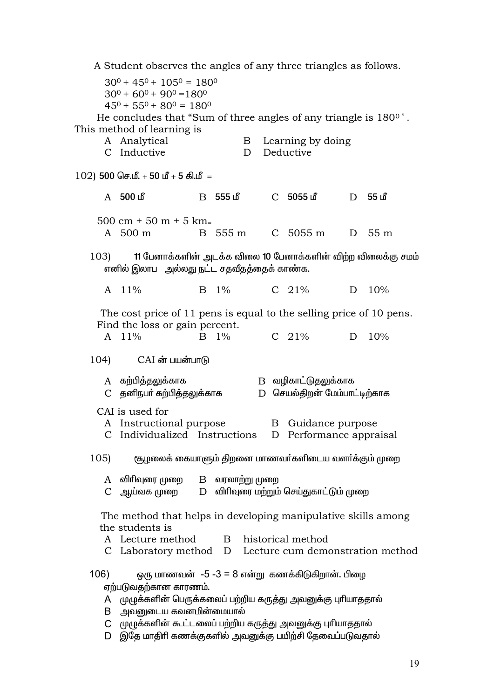A Student observes the angles of any three triangles as follows.  $30^0 + 45^0 + 105^0 = 180^0$  $30^0 + 60^0 + 90^0 = 180^0$  $45^0 + 55^0 + 80^0 = 180^0$ He concludes that "Sum of three angles of any triangle is 180<sup>0</sup>". This method of learning is A Analytical Learning by doing  $\mathbf{B}$ C Inductive  $D$ Deductive  $102$ ) 500 செ.மீ. + 50 மீ + 5 கி.மீ = A 500 மீ R 555 மீ  $C$  5055 மீ D 55 in  $500 \text{ cm} + 50 \text{ m} + 5 \text{ km}$  $A = 500 \text{ m}$ B 555 m  $C$  5055 m  $D$  55 m 11 பேனாக்களின் அடக்க விலை 10 பேனாக்களின் விற்ற விலைக்கு சமம்  $103$ எனில் இலாப அல்லது நட்ட சதவீதத்தைக் காண்க. A  $11\%$  $B = 1\%$  $C$  21%  $D = 10\%$ The cost price of 11 pens is equal to the selling price of 10 pens. Find the loss or gain percent. A  $11\%$  $B = 1\%$  $C$  21% D 10%  $104$  $CAI$  ன் பயன்பாடு A கற்பித்தலுக்காக B வழிகாட்டுதலுக்காக C தனிநபா் கற்பித்தலுக்காக D செயல்திறன் மேம்பாட்டிற்காக CAI is used for A Instructional purpose B Guidance purpose C Individualized Instructions D Performance appraisal (கூழலைக் கையாளும் கிறனை மாணவர்களிடைய வளர்க்கும் முறை  $105$  $A$  விரிவுரை முறை  $B$  வரலாற்று முறை D விரிவுரை மற்றும் செய்துகாட்டும் முறை C ஆய்வக முறை The method that helps in developing manipulative skills among the students is A Lecture method  $\mathbf{B}$ historical method C Laboratory method D Lecture cum demonstration method ஒரு மாணவன் -5 -3 = 8 என்று கணக்கிடுகிறான். பிழை  $106)$ எற்படுவகற்கான காரணம். A புடிழக்களின் பெருக்கலைப் பற்றிய கருத்து அவனுக்கு புரியாததால் B அவனுடைய கவனமின்மையால் C முழுக்களின் கூட்டலைப் பற்றிய கருத்து அவனுக்கு புரியாததால் D இதே மாதிரி கணக்குகளில் அவனுக்கு பயிற்சி தேவைப்படுவதால்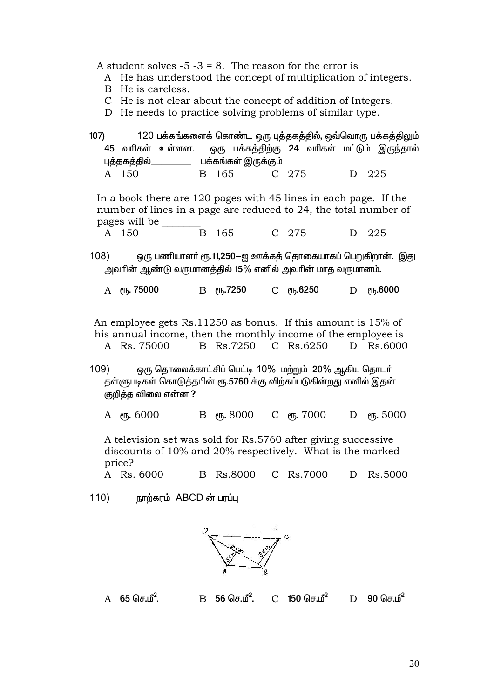A student solves  $-5 - 3 = 8$ . The reason for the error is

- A He has understood the concept of multiplication of integers.
- B He is careless.
- C He is not clear about the concept of addition of Integers.
- D He needs to practice solving problems of similar type.
- 120 பக்கங்களைக் கொண்ட ஒரு புத்தகத்தில், ஒவ்வொரு பக்கத்திலும்  $107$ 45 வரிகள் உள்ளன. ஒரு பக்கத்திற்கு 24 வரிகள் மட்டும் இருந்தால் புத்தகத்தில் பக்கங்கள் இருக்கும் A 150 B 165 C 275 D 225 In a book there are 120 pages with 45 lines in each page. If the number of lines in a page are reduced to 24, the total number of pages will be  $A$  150 165  $C$  275 D 225  $\mathbf{B}$
- ஒரு பணியாளா் ரூ.11,250—ஐ ஊக்கத் தொகையாகப் பெறுகிறான். இது  $108)$ அவரின் ஆண்டு வருமானத்தில் 15% எனில் அவரின் மாத வருமானம்.
	- **В** еҧ.7250 С еҧ.6250 **D** eҧ.6000 А еҧ. 75000

An employee gets Rs.11250 as bonus. If this amount is 15% of his annual income, then the monthly income of the employee is A Rs. 75000 B Rs.7250 C Rs.6250 D Rs.6000

ஒரு தொலைக்காட்சிப் பெட்டி 10% மற்றும் 20% ஆகிய தொடர்  $109)$ தள்ளுபடிகள் கொடுத்தபின் ரூ.5760 க்கு விற்கப்படுகின்றது எனில் இதன் குறித்த விலை என்ன ?

 $B$   $\rho$ <sub>m</sub>, 8000 С еҧ. 7000 D PT<sub>6</sub>.5000 А ет, 6000

A television set was sold for Rs.5760 after giving successive discounts of 10% and 20% respectively. What is the marked price?

A Rs. 6000 B Rs.8000 C Rs. 7000 D Rs.5000

 $110)$ நாற்கரம் ABCD ன் பரப்பு



 $A$  65 செ.மீ.  $B = 56$  செ.மீ.  $C$  150 செ.மீ $^2$  $D = 90$   $\Omega$  $\text{Hz}$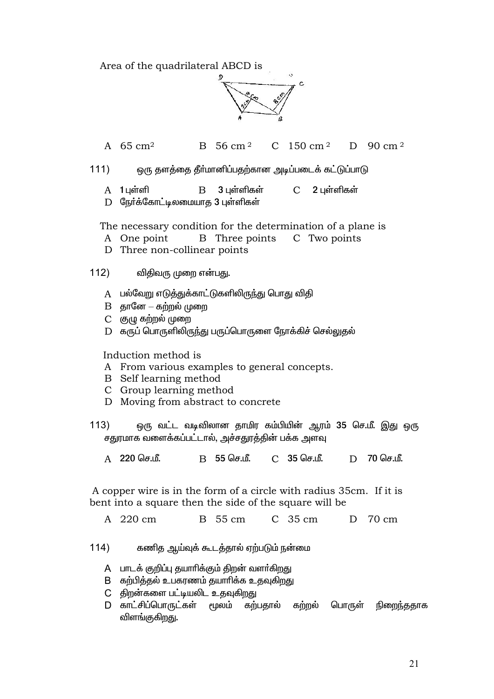Area of the quadrilateral ABCD is



 $B = 56$  cm <sup>2</sup>  $150 \text{ cm}^2$ D 90 cm  $^2$ A  $65 \text{ cm}^2$  $\mathcal{C}$ 

 $111)$ ஒரு தளத்தை தீர்மானிப்பதற்கான அடிப்படைக் கட்டுப்பாடு

 $A$  1 புள்ளி  $\mathbf B$ 3 புள்ளிகள்  $\mathcal{C}$ 2 புள்ளிகள்

D நேர்க்கோட்டிலமையாத 3 புள்ளிகள்

The necessary condition for the determination of a plane is

- A One point B Three points C Two points
- D Three non-collinear points

 $112)$ விதிவரு முறை என்பது.

- A பல்வேறு எடுத்துக்காட்டுகளிலிருந்து பொது விதி
- $B$  தானே  $-$  கற்றல் முறை
- $C$  குழு கற்றல் முறை
- D கருப் பொருளிலிருந்து பருப்பொருளை நோக்கிச் செல்லுதல்

Induction method is

- A From various examples to general concepts.
- B Self learning method
- C Group learning method
- D Moving from abstract to concrete
- ஒரு வட்ட வடிவிலான தாமிர கம்பியின் ஆரம் 35 செ.மீ. இது ஒரு  $113)$ சதுரமாக வளைக்கப்பட்டால், அச்சதுரத்தின் பக்க அளவு
	- B 55 செ.மீ. 70 செ.மீ. A 220 செ.மீ. C 35 செ.மீ. D

A copper wire is in the form of a circle with radius 35cm. If it is bent into a square then the side of the square will be

A 220 cm B 55 cm C 35 cm D 70 cm

 $114)$ கணித ஆய்வுக் கூடத்தால் ஏற்படும் நன்மை

- A பாடக் குறிப்பு தயாரிக்கும் திறன் வளர்கிறது
- B கற்பித்தல் உபகரணம் தயாரிக்க உதவுகிறது
- C திறன்களை பட்டியலிட உதவுகிறது
- D காட்சிப்பொருட்கள் மூலம் கற்பதால் கற்றல் பொருள் நிறைந்ததாக விளங்குகிறது.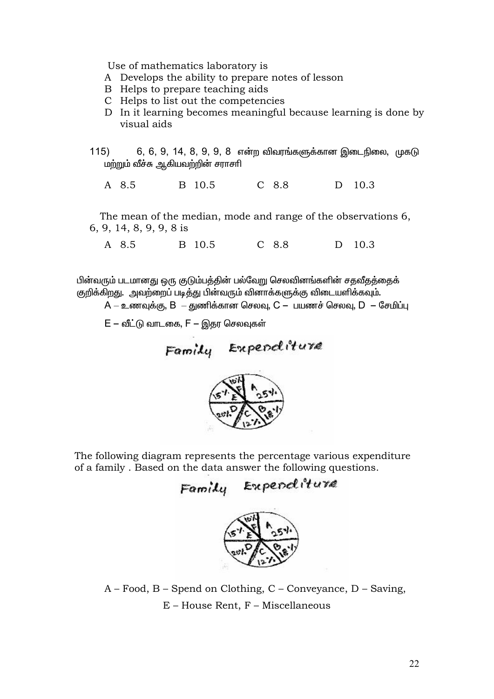Use of mathematics laboratory is

- A Develops the ability to prepare notes of lesson
- B Helps to prepare teaching aids
- C Helps to list out the competencies
- D In it learning becomes meaningful because learning is done by visual aids
- 6, 6, 9, 14, 8, 9, 9, 8 என்ற விவரங்களுக்கான இடைநிலை, முகடு  $115)$ மற்றும் வீச்சு ஆகியவற்றின் சராசரி

B 10.5  $C$  8.8 A 8.5 D 10.3

The mean of the median, mode and range of the observations 6, 6, 9, 14, 8, 9, 9, 8 is

 $A \quad 8.5$ B 10.5  $C$  8.8 D 10.3

பின்வரும் படமானது ஒரு குடும்பத்தின் பல்வேறு செலவினங்களின் சதவீதத்தைக் குறிக்கிறது. அவற்றைப் படித்து பின்வரும் வினாக்களுக்கு விடையளிக்கவும்.

 $A$  — உணவுக்கு,  $B$  — குணிக்கான செலவு,  $C$  — பயணச் செலவு,  $D$  — சேமிப்பு

 $E$  – வீட்டு வாடகை,  $F$  – இதர செலவுகள்

Family Expenditure



The following diagram represents the percentage various expenditure of a family. Based on the data answer the following questions.

Family Expenditure



 $A - Food$ ,  $B - Spend$  on Clothing,  $C - Conveyance$ ,  $D - Saving$ , E - House Rent, F - Miscellaneous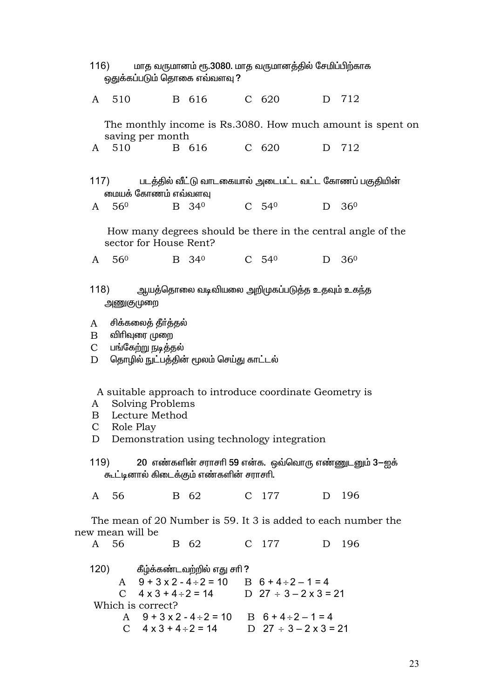| மாத வருமானம் ரூ.3080. மாத வருமானத்தில் சேமிப்பிற்காக<br>116)<br>ஒதுக்கப்படும் தொகை எவ்வளவு ? |                   |                                                            |                                                                                                                                                   |                     |                     |                                 |                                                              |  |
|----------------------------------------------------------------------------------------------|-------------------|------------------------------------------------------------|---------------------------------------------------------------------------------------------------------------------------------------------------|---------------------|---------------------|---------------------------------|--------------------------------------------------------------|--|
|                                                                                              |                   | A 510                                                      | B 616 C 620                                                                                                                                       |                     |                     |                                 | D 712                                                        |  |
|                                                                                              |                   | saving per month                                           |                                                                                                                                                   |                     |                     |                                 | The monthly income is Rs.3080. How much amount is spent on   |  |
|                                                                                              | A 510             |                                                            | B 616                                                                                                                                             |                     | C 620               |                                 | D 712                                                        |  |
|                                                                                              | 117)              | மையக் கோணம் எவ்வளவு                                        |                                                                                                                                                   |                     |                     |                                 | படத்தில் வீட்டு வாடகையால் அடைபட்ட வட்ட கோணப் பகுதியின்       |  |
| A                                                                                            | 56 <sup>0</sup>   |                                                            | B 34 <sup>0</sup>                                                                                                                                 | $C$ 54 <sup>0</sup> |                     | D                               | 36 <sup>0</sup>                                              |  |
|                                                                                              |                   | sector for House Rent?                                     |                                                                                                                                                   |                     |                     |                                 | How many degrees should be there in the central angle of the |  |
|                                                                                              | A 56 <sup>0</sup> |                                                            | B 34 <sup>0</sup>                                                                                                                                 |                     | $C$ 54 <sup>0</sup> |                                 | $D \quad 36^{\circ}$                                         |  |
|                                                                                              | 118)<br>அணுகுமுறை |                                                            | ஆயத்தொலை வடிவியலை அறிமுகப்படுத்த உதவும் உகந்த                                                                                                     |                     |                     |                                 |                                                              |  |
| A<br>$\mathbf{B}$<br>$\mathbf C$<br>D                                                        |                   | சிக்கலைத் தீர்த்தல்<br>விரிவுரை முறை<br>பங்கேற்று நடித்தல் | தொழில் நுட்பத்தின் மூலம் செய்து காட்டல்                                                                                                           |                     |                     |                                 |                                                              |  |
| A<br>B<br>$\mathbf{C}$<br>$\mathbf{D}$                                                       |                   | <b>Solving Problems</b><br>Lecture Method<br>Role Play     | A suitable approach to introduce coordinate Geometry is<br>Demonstration using technology integration                                             |                     |                     |                                 |                                                              |  |
|                                                                                              | 119)              |                                                            | கூட்டினால் கிடைக்கும் எண்களின் சராசரி.                                                                                                            |                     |                     |                                 | 20 எண்களின் சராசரி 59 என்க. ஒவ்வொரு எண்ணுடனும் 3-ஐக்         |  |
|                                                                                              | A 56              |                                                            | B 62                                                                                                                                              |                     | C 177               |                                 | D 196                                                        |  |
| The mean of 20 Number is 59. It 3 is added to each number the<br>new mean will be            |                   |                                                            |                                                                                                                                                   |                     |                     |                                 |                                                              |  |
|                                                                                              | A 56              |                                                            | B 62                                                                                                                                              |                     | C 177               |                                 | D 196                                                        |  |
|                                                                                              |                   | Which is correct?                                          | 120) கீழ்க்கண்டவற்றில் எது சரி ?<br>A $9+3x^2-4 \div 2 = 10$ B $6+4 \div 2-1=4$<br>C $4 \times 3 + 4 \div 2 = 14$ D $27 \div 3 - 2 \times 3 = 21$ |                     |                     |                                 |                                                              |  |
|                                                                                              |                   |                                                            | A $9+3x^2-4 \div 2 = 10$ B $6+4 \div 2-1=4$<br>C $4 \times 3 + 4 \div 2 = 14$                                                                     |                     |                     | D $27 \div 3 - 2 \times 3 = 21$ |                                                              |  |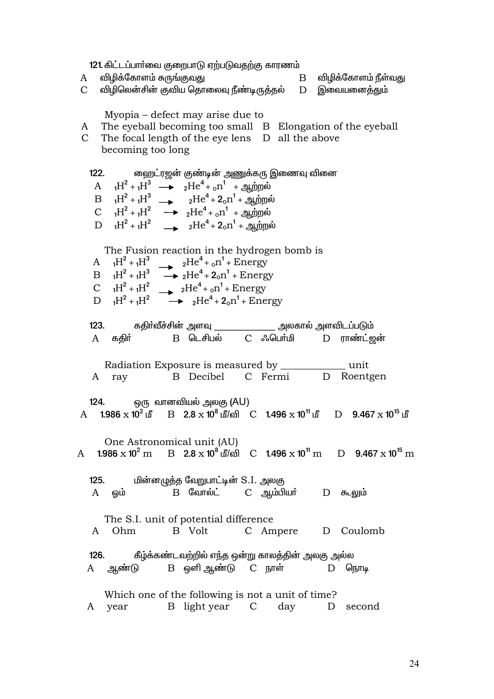121. கிட்டப்பாா்வை குறைபாடு ஏற்படுவதற்கு காரணம்

- விழிக்கோளம் சுருங்குவது  $\mathbf{A}$  $\mathbf{B}$ விழிக்கோளம் நீள்வது விழிலென்சின் குவிய தொலைவு நீண்டிருத்தல் D  $\mathcal{C}$ இவையனைத்தும் Myopia – defect may arise due to A The eyeball becoming too small B Elongation of the eyeball C The focal length of the eye lens D all the above becoming too long ஹைட்ரஜன் குண்டின் அணுக்கரு இணைவு வினை  $122.$ A  ${}_{1}H^{2} + {}_{1}H^{3} \longrightarrow {}_{2}He^{4} + {}_{0}n^{1} + {}_{2}m_{0}m_{0} \dot{\mathbf{w}}$  $B_{1}H^{2}+{}_{1}H^{3} \longrightarrow_{2}He^{4}+2{}_{0}n^{1}+{}_{3}m^{2}m^{3}$ C  ${}_{1}H^{2} + {}_{1}H^{2} \longrightarrow {}_{2}He^{4} + {}_{0}n^{1} + \mathbb{R}$  $D \t H^2 + H^2$   $\rightarrow$   $2He^4 + 2_0n^1 + \sin n\omega$ The Fusion reaction in the hydrogen bomb is  $e^{4t} + e^{n^1} + \text{Energy}$  $A_{1}H^{2}+{}_{1}H^{3}$  $B_1H^2+H^3$  $\rightarrow$  2He<sup>4</sup> + 2<sub>0</sub>n<sup>1</sup> + Energy C  ${}_{1}H^{2} + {}_{1}H^{2} \longrightarrow {}_{2}He^{4} + {}_{0}n^{1} +$  Energy  $H^2 + H^2$  $\rightarrow$   $_2He^4 + 2_0n^1 +$  Energy  $\mathbf{D}$ கதிா்வீச்சின் அளவு \_\_\_\_\_\_\_\_\_\_\_\_\_\_\_\_ அலகால் அளவிடப்படும்  $123.$ A ககிர் B டெசிபல் C ஃபெர்மி D ராண்ட்ஜன் Radiation Exposure is measured by \_\_\_\_\_\_\_\_ \_\_ unit A ray B Decibel C Fermi D Roentgen ஒரு வானவியல் அலகு (AU) 124. A 1.986  $\times$  10<sup>2</sup> in B 2.8  $\times$  10<sup>8</sup> in/on C 1.496  $\times$  10<sup>11</sup> in D 9.467  $\times$  10<sup>15</sup> in One Astronomical unit (AU) 1.986  $\times$  10<sup>2</sup> m B 2.8  $\times$  10<sup>8</sup> மீ/வி C 1.496  $\times$  10<sup>11</sup> m D 9.467  $\times$  10<sup>15</sup> m  $\mathbf{A}$  $125.$ மின்னழுத்த வேறுபாட்டின் S.I. அலகு  $\, {\bf B} \,$  வோல்ட் C ஆம்பியர் D கூலும்  $A$ ஒம் The S.I. unit of potential difference B Volt C Ampere D Coulomb A Ohm  $126.$ கீழ்க்கண்டவற்றில் எந்த ஒன்று காலத்தின் அலகு அல்ல B ஒளி ஆண்டு C நாள் A <u>ஆண்</u>டு  $D$   $\sqrt{a}$   $\sqrt{b}$   $\sqrt{a}$ Which one of the following is not a unit of time?
	- A year B light year C day D second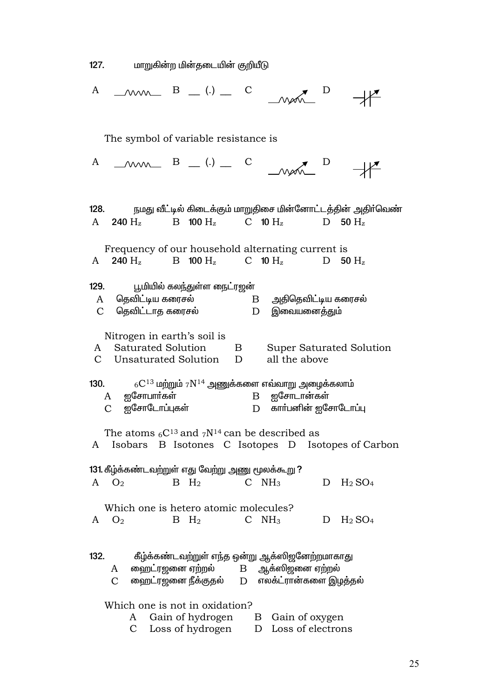மாறுகின்ற மின்தடையின் குறியீடு  $127.$ 

| $M_{\text{max}}$ B $(.)$ $C$<br>A                                                                                                                         |  |  |  |  |  |
|-----------------------------------------------------------------------------------------------------------------------------------------------------------|--|--|--|--|--|
| The symbol of variable resistance is                                                                                                                      |  |  |  |  |  |
| $\begin{array}{ccc} & \mathbf{B} & \mathbf{C} \end{array}$<br>A<br>$M_{\odot}$                                                                            |  |  |  |  |  |
| நமது வீட்டில் கிடைக்கும் மாறுதிசை மின்னோட்டத்தின் அதிா்வெண்<br>128.<br>A 240 H <sub>z</sub> B 100 H <sub>z</sub> C 10 H <sub>z</sub><br>D<br>50 $H_z$     |  |  |  |  |  |
| Frequency of our household alternating current is<br>240 $H_z$ B 100 $H_z$ C 10 $H_z$<br>D<br>50 $H_z$<br>A                                               |  |  |  |  |  |
| பூமியில் கலந்துள்ள நைட்ரஜன்<br>129.<br>தெவிட்டிய கரைசல் $\hbox{\bf B}$ அதிதெவிட்டிய கரைசல்<br>A<br>தெவிட்டாத கரைசல்<br>இவையனைத்தும்<br>$\mathcal{C}$<br>D |  |  |  |  |  |
| Nitrogen in earth's soil is<br>A Saturated Solution<br>Super Saturated Solution<br>$\mathbf{B}$<br>C Unsaturated Solution D<br>all the above              |  |  |  |  |  |
| 130. $6C^{13}$ மற்றும் $7N^{14}$ அணுக்களை எவ்வாறு அழைக்கலாம்<br>A ஐசோபார்கள்<br>B ஐசோடான்கள்<br>ஐசோடோப்புகள்<br>D காா்பனின் ஐசோடோப்பு<br>C                |  |  |  |  |  |
| The atoms $6C^{13}$ and $7N^{14}$ can be described as<br>A Isobars B Isotones C Isotopes D Isotopes of Carbon                                             |  |  |  |  |  |
| 131. கீழ்க்கண்டவற்றுள் எது வேற்று அணு மூலக்கூறு ?<br>$C$ $NH3$<br>$B$ $H_2$<br>$A \quad O_2$<br>$D$ H <sub>2</sub> SO <sub>4</sub>                        |  |  |  |  |  |
| Which one is hetero atomic molecules?<br>$A$ $O_2$<br>$C$ NH <sub>3</sub><br>$D$ $H_2$ $SO_4$<br>$B$ $H_2$                                                |  |  |  |  |  |
| கீழ்க்கண்டவற்றுள் எந்த ஒன்று ஆக்ஸிஜனேற்றமாகாது<br>132.<br>$A$ வைறட்ரஜனை ஏற்றல் $B$ ஆக்ஸிஜனை ஏற்றல்<br>$C$ வைறட்ரஜனை நீக்குதல் $D$ எலக்ட்ரான்களை இழத்தல்   |  |  |  |  |  |
| Which one is not in oxidation?<br>Gain of hydrogen B Gain of oxygen<br>A                                                                                  |  |  |  |  |  |

Loss of hydrogen D Loss of electrons  ${\bf C}$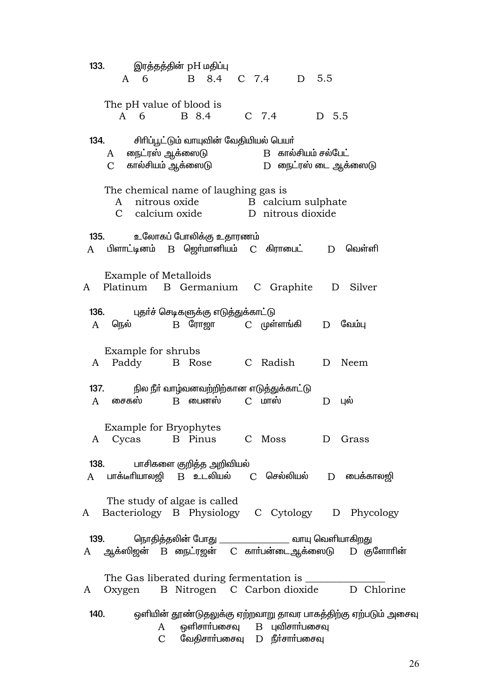$133.$ இரத்தத்தின் pH மதிப்பு 8.4 C 7.4 D 5.5  $A \quad 6$  $\mathbf{B}$ The pH value of blood is B 8.4  $C$  7.4 D 5.5  $A \quad 6$  $134.$ சிரிப்பூட்டும் வாயுவின் வேதியியல் பெயர் நைட்ரஸ் ஆக்ஸைடு  $B$  கால்சியம் சல்பேட்  $\overline{A}$ கால்சியம் ஆக்ஸைடு D நைட்ரஸ் டை ஆக்ஸைடு  $\mathcal{C}$ The chemical name of laughing gas is B calcium sulphate A nitrous oxide C calcium oxide D nitrous dioxide  $135.$ உலோகப் போலிக்கு உதாரணம் A பிளாட்டினம் B ஜெர்மானியம் C கிராபைட்  $D$  வெள்ளி **Example of Metalloids** Platinum B Germanium C Graphite D Silver  $\mathbf{A}$ 136. புதா்ச் செடிகளுக்கு எடுத்துக்காட்டு நெல்  $B$  போஜா C முள்ளங்கி  $D$  வேம்ப  $\mathsf{A}$ Example for shrubs C Radish D Neem A Paddy B Rose 137. நில நீா் வாழ்வனவற்றிற்கான எடுத்துக்காட்டு B பைனஸ் சைகஸ்  $C$   $L$  $\mathsf{A}$  $D$  цல் **Example for Bryophytes** B Pinus A Cycas C Moss D Grass 138. பாசிகளை குறித்த அறிவியல்  $\mathbf{A}$ பாக்டீரியாலஜி B உடலியல் C செல்லியல்  $D$  பைக்காலஜி The study of algae is called Bacteriology B Physiology C Cytology D Phycology  $\mathbf{A}$ 139. நொதித்தலின் போது \_\_\_\_\_\_ \_\_\_\_\_\_\_ வாயு வெளியாக<u>ிறத</u>ு ஆக்ஸிஜன் B ரைட்ரஜன் C கார்பன்டைஆக்ஸைடு D குளோரின் A The Gas liberated during fermentation is B Nitrogen C Carbon dioxide D Chlorine A Oxygen  $140.$ ஒளியின் தூண்டுதலுக்கு ஏற்றவாறு தாவர பாகத்திற்கு ஏற்படும் அசைவு ஒளிசாா்பசைவு B புவிசாா்பசைவு A வேகிசாா்பசைவு D நீா்சாா்பசைவு  $\mathcal{C}$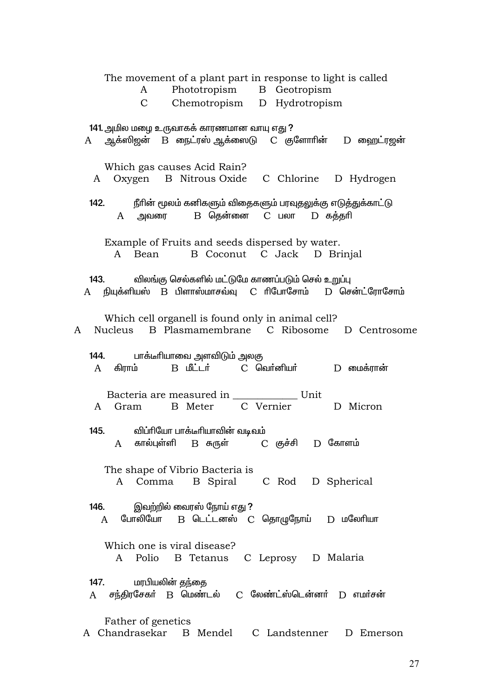| The movement of a plant part in response to light is called<br>Phototropism B Geotropism<br>A                                                                                                  |
|------------------------------------------------------------------------------------------------------------------------------------------------------------------------------------------------|
| Chemotropism D Hydrotropism<br>$\mathcal{C}$                                                                                                                                                   |
|                                                                                                                                                                                                |
| 141. அமில மழை உருவாகக் காரணமான வாயு எது ?<br>$A$ ஆக்ஸிஜன் $B$ நைட்ரஸ் ஆக்ஸைடு $C$ குளோரின் $D$ ஹைட்ரஜன்                                                                                        |
| Which gas causes Acid Rain?<br>A Oxygen B Nitrous Oxide C Chlorine D Hydrogen                                                                                                                  |
| 142. நீரின் மூலம் கனிகளும் விதைகளும் பரவுதலுக்கு எடுத்துக்காட்டு<br>A அவரை B தென்னை C பலா D கத்தரி                                                                                             |
| Example of Fruits and seeds dispersed by water.<br>B Coconut C Jack D Brinjal<br>A Bean                                                                                                        |
| விலங்கு செல்களில் மட்டுமே காணப்படும் செல் உறுப்பு<br>143.<br>A நியுக்ளியஸ் B பிளாஸ்மாசவ்வு C ரிபோசோம் D சென்ட்ரோசோம்                                                                           |
| Which cell organell is found only in animal cell?<br>A Nucleus B Plasmamembrane C Ribosome D Centrosome                                                                                        |
| 144. பாக்டீாியாவை அளவிடும் அலகு<br>$D$ மைக்ரான்<br>கிராம்<br>A                                                                                                                                 |
| Bacteria are measured in _____________ Unit<br>B Meter C Vernier<br>D Micron<br>A Gram                                                                                                         |
| விப்ரியோ பாக்டீரியாவின் வடிவம்<br>145.<br>A கால்புள்ளி B சுருள்   C குச்சி D கோளம்                                                                                                             |
| The shape of Vibrio Bacteria is<br>A Comma B Spiral C Rod D Spherical                                                                                                                          |
| இவற்றில் வைரஸ் நோய் எது ?<br><b>146.</b><br>A போலியோ B டெட்டனஸ் C தொழுநோய் D மலேரியா                                                                                                           |
| Which one is viral disease?<br>A Polio B Tetanus C Leprosy D Malaria                                                                                                                           |
| மரபியலின் தந்தை<br><b>147.</b> The set of the set of the set of the set of the set of the set of the set of the set of the set of the s<br>A சந்திரசேகர் B மெண்டல் C லேண்ட்ஸ்டென்னர் D எமர்சன் |
| Father of genetics<br>A Chandrasekar B Mendel C Landstenner D Emerson                                                                                                                          |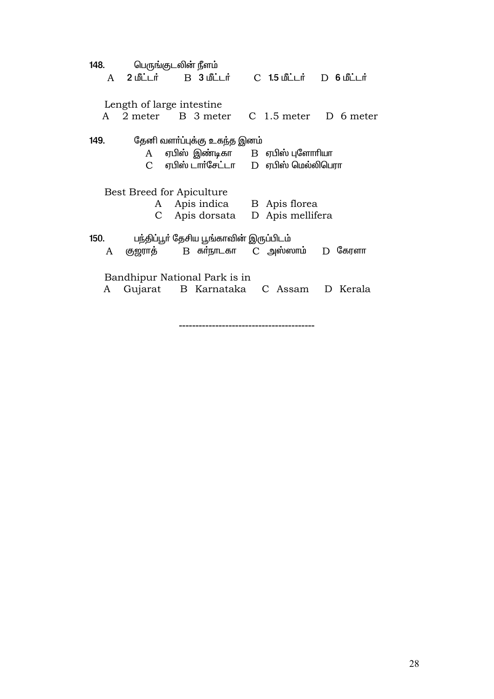|      | 148. |         | பெருங்குடலின் நீளம்                                  |                                                                               |           |
|------|------|---------|------------------------------------------------------|-------------------------------------------------------------------------------|-----------|
|      | A    |         |                                                      | $C$ 1.5 மீட்டர் $D$ 6 மீட்டர்                                                 |           |
|      | A    |         | Length of large intestine<br>2 meter B 3 meter       | C 1.5 meter D 6 meter                                                         |           |
| 149. |      |         | தேனி வளா்ப்புக்கு உகந்த இனம்                         |                                                                               |           |
|      |      |         |                                                      | A ஏபிஸ் இண்டிகா B ஏபிஸ் புளோரியா<br>$C$ ஏபிஸ் டாா்சேட்டா $D$ ஏபிஸ் மெல்லிபெரா |           |
|      |      | A<br>C  | Best Breed for Apiculture<br>Apis dorsata            | Apis indica B Apis florea<br>D Apis mellifera                                 |           |
| 150. | A    | குஜராத் | பந்திப்பூா் தேசிய பூங்காவின் இருப்பிடம்              | B கா்நாடகா    C  அஸ்ஸாம்                                                      | $D$ சேரளா |
|      | A    |         | Bandhipur National Park is in<br>Gujarat B Karnataka | C Assam                                                                       | D Kerala  |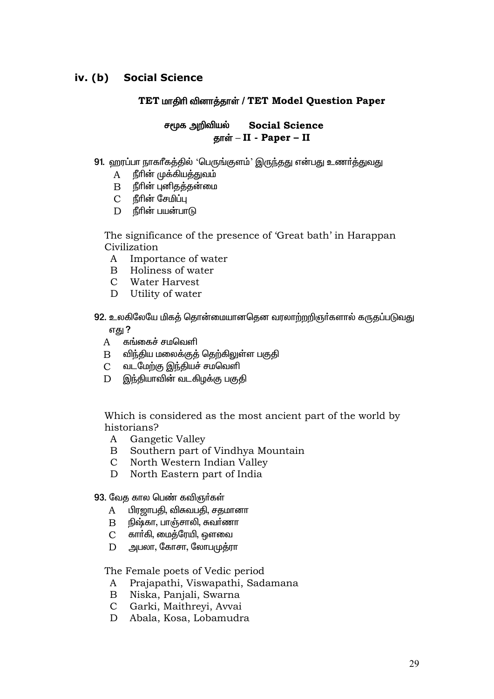### **Social Science**  $iv.$   $(b)$

## TET மாதிரி வினாத்தாள் / TET Model Question Paper

### சமூக அறிவியல் **Social Science** தாள் – II - Paper – II

- 91. ஹரப்பா நாகரீகத்தில் 'பெருங்குளம்' இருந்தது என்பது உணர்த்துவது
	- நீரின் முக்கியத்துவம் A
	- நீரின் புனிகக்கன்மை  $\mathbf{B}$
	- $\mathcal{C}$ நீரின் சேமிப்பு
	- D நீரின் பயன்பாடு

The significance of the presence of 'Great bath' in Harappan Civilization

- A Importance of water
- B Holiness of water
- C Water Harvest
- $D$ Utility of water

92. உலகிலேயே மிகத் தொன்மையானதென வரலாற்றறிஞர்களால் கருதப்படுவது

எது ?

- கங்கைச் சமவெளி  $\mathsf{A}$
- விந்திய மலைக்குத் தெற்கிலுள்ள பகுதி  $\mathbf{B}$
- வடமேற்கு இந்தியச் சமவெளி  $\mathbf{C}$
- இந்தியாவின் வடகிழக்கு பகுதி  $\mathbf{D}$

Which is considered as the most ancient part of the world by historians?

- $A$ Gangetic Valley
- $\mathbf{B}$ Southern part of Vindhya Mountain
- $\mathbf{C}$ North Western Indian Valley
- D North Eastern part of India
- 93. வேக கால பெண் கவிஞர்கள்
	- பிரஜாபதி, விசுவபதி, சதமானா A
	- $\mathbf{B}$  நிஷ்கா, பாஞ்சாலி, சுவா்ணா
	- C கார்கி, மைத்ரேயி, ஔவை
	- அபலா, கோசா, லோபமுத்ரா D

The Female poets of Vedic period

- A Prajapathi, Viswapathi, Sadamana
- B Niska, Panjali, Swarna
- C Garki, Maithreyi, Avvai
- D Abala, Kosa, Lobamudra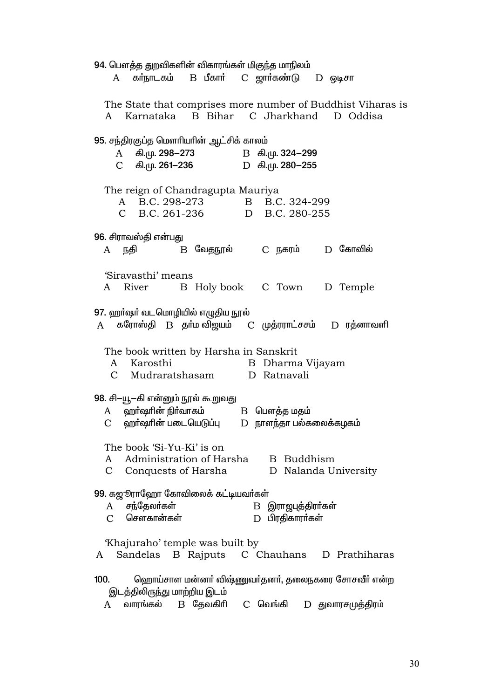94. பௌத்த துறவிகளின் விகாரங்கள் மிகுந்த மாநிலம் கா்நாடகம்  $B$  பீகார் C ஜார்கண்டு  $D$  ஒடிசா  $\mathbf{A}$ The State that comprises more number of Buddhist Viharas is  $\mathsf{A}$ Karnataka **B** Bihar C Jharkhand D Oddisa 95. சந்திரகுப்த மௌரியரின் ஆட்சிக் காலம் கி.மு. 298–273 B கி.மு. 324-299  $\mathbf{A}$  $\mathcal{C}$ கி.மு. 261–236 D கி.மு. 280−255 The reign of Chandragupta Mauriya A B.C. 298-273  $\mathbf{B}$ B.C. 324-299 D B.C. 280-255  $\mathcal{C}$ B.C. 261-236 96. சிராவஸ்தி என்பது  $B$  வேதநூல் C நகரம் D கோவில் A நதி 'Siravasthi' means C Town  $\mathsf{A}$ River B Holy book D Temple 97. ஹா்ஷா் வடமொழியில் எழுதிய நூல்  $D$  ரத்னாவளி கரோஸ்தி B தா்ம வி<u>ஜ</u>யம் C முத்ரராட்சசம்  $A$ The book written by Harsha in Sanskrit B Dharma Vijayam Karosthi  $\mathsf{A}$  $\mathcal{C}$ Mudraratshasam D Ratnavali 98. சி-யூ–கி என்னும் நூல் கூறுவது ஹா்ஷாின் நிா்வாகம் B பௌத்த மதம் A ஹா்ஷாின் படையெடுப்பு  $D$  நாளந்தா பல்கலைக்கழகம்  $\mathcal{C}$ The book 'Si-Yu-Ki' is on Administration of Harsha  $\mathbf{A}$ B Buddhism  $\mathcal{C}$ Conquests of Harsha D Nalanda University 99. கஜூராஹோ கோவிலைக் கட்டியவர்கள் சந்தேலர்கள் B இராஜபுத்திராகள்  $\mathsf{A}$  $\mathcal{C}$ சௌகான்கள் D பிரதிகாரர்கள் 'Khajuraho' temple was built by C Chauhans D Prathiharas  $A$ Sandelas B Rajputs  $100.$ ஹொய்சாள மன்னர் விஷ்ணுவர்தனர், தலைநகரை சோசவீர் என்ற இடத்திலிருந்து மாற்றிய இடம் வாரங்கல் B தேவகிரி C வெங்கி  $D$  துவாரசமுத்திரம்  $A$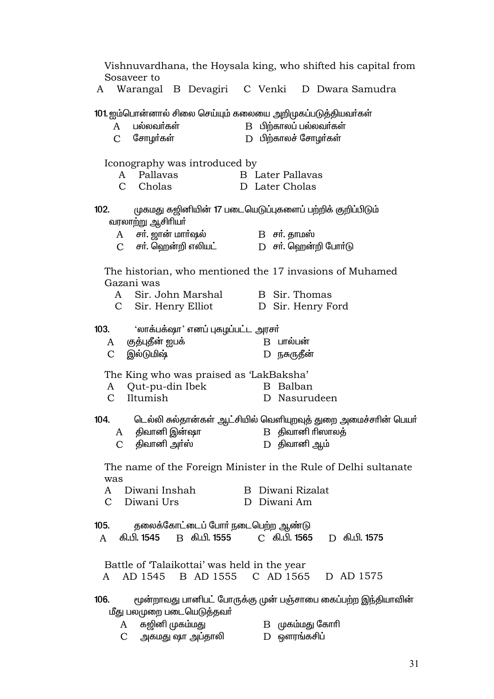Vishnuvardhana, the Hoysala king, who shifted his capital from Sosayeer to Warangal B Devagiri C Venki D Dwara Samudra A 101 ஐம்பொன்னால் சிலை செய்யும் கலையை அறிமுகப்படுத்தியவர்கள் பல்லவா்கள்  $\,$ B $\,$  பிற்காலப் பல்லவா்கள் A  $\mathcal{C}$ சோமர்கள் D பிற்காலச் சோமர்கள் Iconography was introduced by Pallavas **B** Later Pallavas A  $\mathcal{C}$ Cholas D. Later Cholas  $102.$ முகமது கஜினியின் 17 படையெடுப்புகளைப் பற்றிக் குறிப்பிடும் வரலாற்று ஆசிரியா் சர். ஜான் மார்ஷல்  $B$   $\sigma$ n, காமஸ்  $\mathsf{A}$  $\mathcal{C}$ சா். ஹென்றி எலியட் D சா். ஹென்றி போா்டு The historian, who mentioned the 17 invasions of Muhamed Gazani was Sir. John Marshal  $\mathbf{A}$ **B** Sir. Thomas  $\overline{C}$ Sir. Henry Elliot D Sir. Henry Ford  $103<sub>1</sub>$ 'லாக்பக்ஷா' எனப் புகழப்பட்ட அரசா் குத்புதீன் ஐபக்  $B$  பால்பன்  $\mathsf{A}$  $\mathcal{C}$ இல்டுமிஷ் D நசுருதீன் The King who was praised as 'LakBaksha'  $\overline{A}$ Out-pu-din Ibek B Balban  $\mathcal{C}$ Iltumish D Nasurudeen டெல்லி சுல்தான்கள் ஆட்சியில் வெளியுறவுத் துறை அமைச்சரின் பெயர்  $104.$ திவானி இன்ஷா  $B$  திவானி ரிஸாலத்  $\overline{A}$ D திவானி ஆம் C திவானி அா்ஸ் The name of the Foreign Minister in the Rule of Delhi sultanate was Diwani Inshah B Diwani Rizalat  $\mathsf{A}$  $\mathcal{C}$ Diwani Urs D Diwani Am  $10<sub>5</sub>$ தலைக்கோட்டைப் போர் நடைபெற்ற ஆண்டு கி.பி. 1545 B கி.பி. 1555 C கி.பி. **1565 D** கி.பி. 1575  $\mathsf{A}$ Battle of Talaikottai' was held in the year  $\overline{A}$ AD 1545 B AD 1555 C AD 1565 D AD 1575 மூன்றாவது பானிபட் போருக்கு முன் பஞ்சாபை கைப்பற்ற இந்தியாவின்  $106$ மீது பலமுறை படையெடுத்தவர் கஜினி முகம்மது  $B$   $(\mu$ கம்மது கோரி  $A$  $D$  ஒளரங்கசிப் அகமது ஷா அப்தாலி  $\mathcal{C}$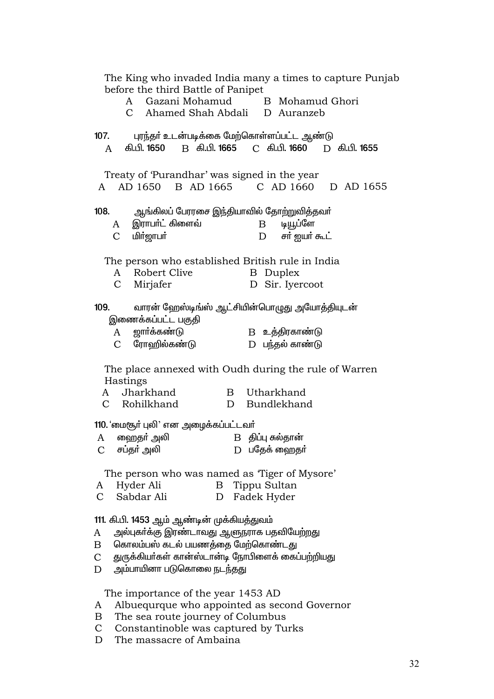| The King who invaded India many a times to capture Punjab                                |  |
|------------------------------------------------------------------------------------------|--|
| before the third Battle of Panipet<br>A Gazani Mohamud B Mohamud Ghori                   |  |
| C Ahamed Shah Abdali D Auranzeb                                                          |  |
|                                                                                          |  |
| 107.<br>புரந்தா் உடன்படிக்கை மேற்கொள்ளப்பட்ட ஆண்டு                                       |  |
| கி.பி. 1650 B கி.பி. 1665 C கி.பி. 1660 D கி.பி. 1655<br>A                               |  |
|                                                                                          |  |
| Treaty of 'Purandhar' was signed in the year<br>A AD 1650 B AD 1665 C AD 1660 D AD 1655  |  |
|                                                                                          |  |
| ஆங்கிலப் பேரரசை இந்தியாவில் தோற்றுவித்தவா்<br>108.                                       |  |
| A இராபா்ட் கிளைவ்<br>டியூப்ளே<br>$\mathbf{B}$                                            |  |
| <b>மிர்ஜாபர்</b><br>$\mathbf{D}$<br>சர் ஐயர் கூட்<br>$\mathcal{C}$                       |  |
|                                                                                          |  |
| The person who established British rule in India<br>Robert Clive<br><b>B</b> Duplex<br>A |  |
| D Sir. Iyercoot<br>$\mathbf{C}$<br>Mirjafer                                              |  |
|                                                                                          |  |
| வாரன் ஹேஸ்டிங்ஸ் ஆட்சியின்பொழுது அயோத்தியுடன்<br>109.                                    |  |
| இணைக்கப்பட்ட பகுதி                                                                       |  |
| ஜார்க்கண்டு<br>B உத்திரகாண்டு<br>$\mathbf{A}$                                            |  |
| C ரோஹில்கண்டு<br>D பந்தல் காண்டு                                                         |  |
|                                                                                          |  |
| The place annexed with Oudh during the rule of Warren<br>Hastings                        |  |
| A Jharkhand<br>B Utharkhand                                                              |  |
| D Bundlekhand<br>C Rohilkhand                                                            |  |
|                                                                                          |  |
| 110. 'மைசூா் புலி' என அழைக்கப்பட்டவா்                                                    |  |
| ஹைதா் அலி<br>B திப்பு சுல்தான்<br>A                                                      |  |
| சப்தா் அலி<br>D பதேக் ஹைதர்<br>$\mathsf{C}$                                              |  |
| The person who was named as Tiger of Mysore'                                             |  |
| Hyder Ali<br>Tippu Sultan<br>B<br>A                                                      |  |
| $\mathsf{C}$<br>Sabdar Ali<br>Fadek Hyder<br>D                                           |  |
|                                                                                          |  |
| 111. கி.பி. 1453 ஆம் ஆண்டின் முக்கியத்துவம்                                              |  |
| அல்புகா்க்கு இரண்டாவது ஆளுநராக பதவியேற்றது<br>A                                          |  |
| கொலம்பஸ் கடல் பயணத்தை மேற்கொண்டது<br>Β                                                   |  |
| துருக்கியா்கள் கான்ஸ்டான்டி நோபிளைக் கைப்பற்றியது<br>$\mathsf{C}$                        |  |
| அம்பாயினா படுகொலை நடந்தது<br>D                                                           |  |
|                                                                                          |  |
| The importance of the year 1453 AD<br>Albuequrque who appointed as second Governor<br>A  |  |
| The sea route journey of Columbus<br>Β                                                   |  |
|                                                                                          |  |

- C Constantinoble was captured by Turks<br>D The massacre of Ambaina
-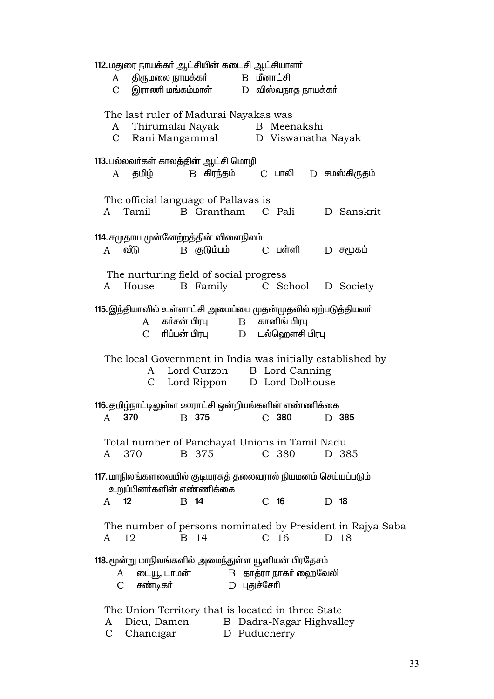| 112. மதுரை நாயக்கர் ஆட்சியின் கடைசி ஆட்சியாளர்<br>A திருமலை நாயக்கா்             B   மீனாட்சி                                                     |  |  |  |  |  |
|---------------------------------------------------------------------------------------------------------------------------------------------------|--|--|--|--|--|
| $C$ இராணி மங்கம்மாள் $D$ விஸ்வநாத நாயக்கா்                                                                                                        |  |  |  |  |  |
| The last ruler of Madurai Nayakas was<br>A Thirumalai Nayak B Meenakshi<br>C Rani Mangammal D Viswanatha Nayak                                    |  |  |  |  |  |
| 113. பல்லவா்கள் காலத்தின் ஆட்சி மொழி<br>தமிழ்    B கிரந்தம்    C பாலி    D சமஸ்கிருதம்<br>A                                                       |  |  |  |  |  |
| The official language of Pallavas is<br>A Tamil B Grantham C Pali<br>D Sanskrit                                                                   |  |  |  |  |  |
| 114. சமுதாய முன்னேற்றத்தின் விளைநிலம்<br>B குடும்பம்      C பள்ளி<br>$A$ வீடு<br>$D$ சமூகம்                                                       |  |  |  |  |  |
| The nurturing field of social progress<br>B Family C School D Society<br>House<br>A                                                               |  |  |  |  |  |
| 115. இந்தியாவில் உள்ளாட்சி அமைப்பை முதன்முதலில் ஏற்படுத்தியவா்<br>A கா்சன் பிரபு DB கானிங் பிரபு<br>C ரிப்பன் பிரபு          D      டல்ஹௌசி பிரபு |  |  |  |  |  |
| The local Government in India was initially established by<br>A Lord Curzon B Lord Canning<br>C Lord Rippon D Lord Dolhouse                       |  |  |  |  |  |
| 116. தமிழ்நாட்டிலுள்ள ஊராட்சி ஒன்றியங்களின் எண்ணிக்கை                                                                                             |  |  |  |  |  |
| 370<br>B 375<br>C <sub>380</sub><br>A<br>D 385                                                                                                    |  |  |  |  |  |
| Total number of Panchayat Unions in Tamil Nadu<br>B 375<br>C 380<br>A 370<br>D 385                                                                |  |  |  |  |  |
| 117. மாநிலங்களவையில் குடியரசுத் தலைவரால் நியமனம் செய்யப்படும்<br>உறுப்பினா்களின் எண்ணிக்கை                                                        |  |  |  |  |  |
| 12<br>C <sub>16</sub><br>B 14<br>D 18<br>A                                                                                                        |  |  |  |  |  |
| The number of persons nominated by President in Rajya Saba<br>B 14<br>C <sub>16</sub><br>12<br>D 18<br>A                                          |  |  |  |  |  |
| 118. மூன்று மாநிலங்களில் அமைந்துள்ள யூனியன் பிரதேசம்<br>B தாத்ரா நாகா் ஹைவேலி<br>டையூ, டாமன்<br>A<br>சண்டிகர்<br>D புதுச்சேரி<br>$\mathcal{C}$    |  |  |  |  |  |
| The Union Territory that is located in three State<br>B Dadra-Nagar Highvalley<br>Dieu, Damen<br>A                                                |  |  |  |  |  |

C Chandigar D Puducherry<br>C Chandigar D Puducherry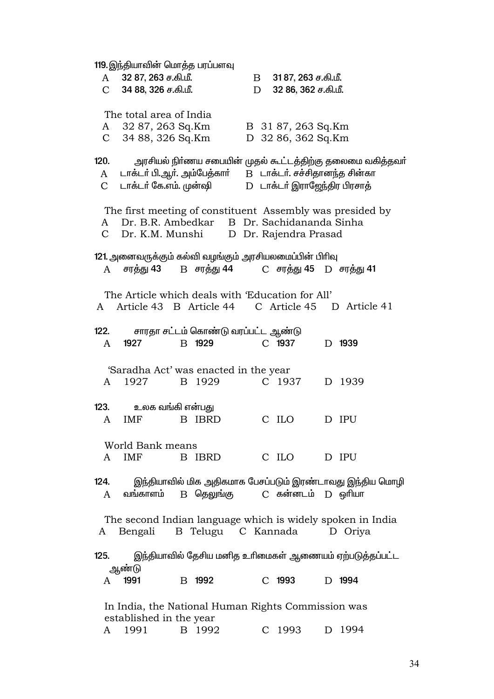119. இந்தியாவின் மொத்த பரப்பளவு 32 87, 263 ச.கி.மீ.  $\mathbf{A}$  $\mathbf{B}$ 31 87, 263 ச.கி.மீ.  $\mathcal{C}$ 34 88, 326 ச.கி.மீ. 32 86, 362 ச.கி.மீ.  $D$ The total area of India 32 87, 263 Sq.Km B 31 87, 263 Sq.Km A  $\mathcal{C}$ 34 88, 326 Sq.Km D 32 86, 362 Sq.Km  $120.$ அரசியல் நிர்ணய சபையின் முதல் கூட்டத்திற்கு தலைமை வகித்தவர் B டாக்டர். சச்சிதானந்த சின்கா டாக்டா் பி.ஆா். அம்பேத்காா்  $\mathbf{A}$  $\mathcal{C}$ டாக்டர் கே.எம். முன்ஷி D டாக்டர் இராஜேந்திர பிரசாக் The first meeting of constituent Assembly was presided by Dr. B.R. Ambedkar B Dr. Sachidananda Sinha A  $\overline{C}$ Dr. K.M. Munshi D Dr. Rajendra Prasad 121. அனைவருக்கும் கல்வி வழங்கும் அரசியலமைப்பின் பிரிவு B சரக்து 44 சரக்து 43 C சரத்து 45 D சரத்து 41  $\mathsf{A}$ The Article which deals with 'Education for All' Article 43 B Article 44 C Article 45 D Article 41  $A$  $122.$ சாரதா சட்டம் கொண்டு வரப்பட்ட ஆண்டு B 1929 1927 C 1937 D 1939  $\mathbf{A}$ 'Saradha Act' was enacted in the year 1927 B 1929 C 1937 D 1939  $A$  $123.$ உலக வங்கி என்பது D IPU  $\mathsf{A}$ **IMF** B IBRD C ILO World Bank means D IPU  $\mathsf{A}$ **IMF** B IBRD C ILO இந்தியாவில் மிக அதிகமாக பேசப்படும் இரண்டாவது இந்திய மொழி  $124.$ வங்காளம் B தெலுங்கு  $C$  கன்னடம்  $D$  ஒரியா  $\overline{A}$ The second Indian language which is widely spoken in India A Bengali B Telugu C Kannada D Oriya இந்தியாவில் தேசிய மனித உரிமைகள் ஆணையம் ஏற்படுத்தப்பட்ட  $125.$ <u> ஆண்டு</u> 1991 B 1992  $C$  1993 D 1994  $\mathsf{A}$ In India, the National Human Rights Commission was established in the year

A 1991

B 1992

C 1993

D 1994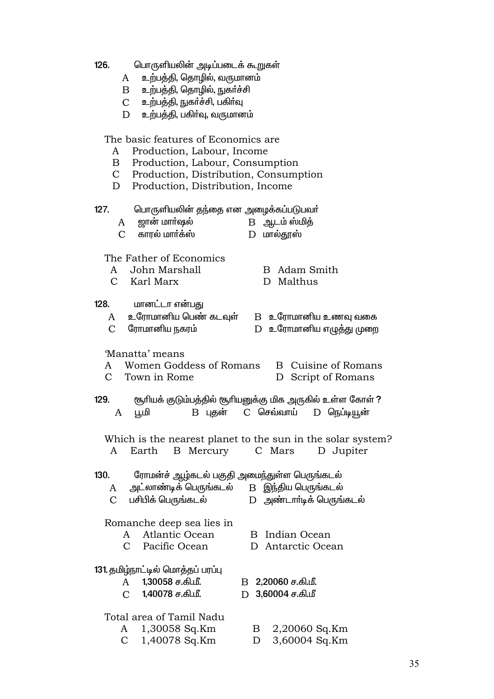| 126. | பொருளியலின் அடிப்படைக் கூறுகள் |  |  |
|------|--------------------------------|--|--|
|      |                                |  |  |

- A உற்பத்தி, தொழில், வருமானம்
- $B$  உற்பத்தி, தொழில், நுகர்ச்சி
- உற்பத்தி, நுகா்ச்சி, பகிா்வு  $\mathbf{C}$
- உற்பத்தி, பகிர்வு, வருமானம்  $\overline{D}$

The basic features of Economics are

- Production, Labour, Income  $A$
- $\overline{B}$ Production, Labour, Consumption
- $\mathbf C$ Production, Distribution, Consumption
- Production, Distribution, Income  $D$

 $127.$ பொருளியலின் தந்தை என அழைக்கப்படுபவா்

- B அடம்ஸ்மித்
- $\overline{C}$ காால் மார்க்ஸ்  $D$  மால்தூஸ்

The Father of Economics

ஜான் மார்ஷல்

- A John Marshall
- C Karl Marx

 $\mathbf{A}$ 

- **B** Adam Smith
- D Malthus

### 128. மானட்டா என்பது

|  | உரோமானிய பெண் கடவுள் |  | $\mathbf{B}$ உரோமா |
|--|----------------------|--|--------------------|
|--|----------------------|--|--------------------|

- $\mathcal{C}$ ரோமானிய நகரம்
- ானிய உணவு வகை D உரோமானிய எழுத்து முறை

## 'Manatta' means

 $\mathcal{C}$ 

 $\mathbf{C}$ 

- **B** Cuisine of Romans Women Goddess of Romans  $\mathsf{A}$ 
	- Town in Rome D Script of Romans
- $129.$ (கூரியக் குடும்பத்தில் (கூரியனுக்கு மிக அருகில் உள்ள கோள் ?  $C$  செவ்வாய்  $\mathbf{A}$ பூமி B புதன் D நெப்டியூன்

Which is the nearest planet to the sun in the solar system? A Earth **B** Mercury C Mars D Jupiter

#### $130.$ ரோமன்ச் ஆழ்கடல் பகுதி அமைந்துள்ள பெருங்கடல்

- அட்லாண்டிக் பெருங்கடல்  $B$  இந்திய பெருங்கடல்  $\mathsf{A}$ 
	- பசிபிக் பெருங்கடல் D அண்டார்டிக் பெருங்கடல்

# Romanche deep sea lies in

- Atlantic Ocean  $\mathsf{A}$ 
	- $\mathcal{C}$ Pacific Ocean

## 131. தமிழ்நாட்டில் மொத்தப் பரப்பு

- 1.30058 ச.கி.மீ.  $\mathbf{A}$ 
	- $\overline{C}$ 1,40078 ச.கி.மீ.

# Total area of Tamil Nadu

- 1,30058 Sq.Km A  $\mathcal{C}$ 
	- 1,40078 Sq.Km
- B Indian Ocean
- D Antarctic Ocean
- B 2.20060 ச.கி.மீ.
- D 3,60004 ச.கி.மீ
	- $\mathbf{B}$ 2,20060 Sq.Km
	- D 3,60004 Sq.Km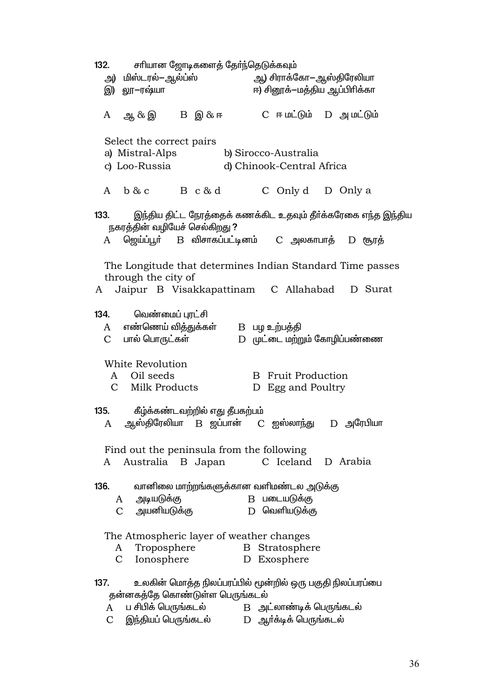$132.$ சாியான ஜோடிகளைத் தோ்ந்தெடுக்கவும் ஆ) சிராக்கோ—ஆஸ்திரேலியா அ) மிஸ்டரல்—ஆல்ப்ஸ் இ) <u>லா</u>—ரஷ்யா ஈ) சினூக்–மக்கிய ஆப்பிரிக்கா  $C$  ஈ மட்டும்  $D$  அ மட்டும்  $\mathbf{A}$ ஆ & இ  $B$  இ $\&$  ஈ Select the correct pairs a) Mistral-Alps b) Sirocco-Australia c) Loo-Russia d) Chinook-Central Africa  $\mathsf{A}$  $b & c$  $B \, c \, \& \, d$ C Only d D Only a  $133.$ இந்திய திட்ட நேரத்தைக் கணக்கிட உதவும் தீர்க்கரேகை எந்த இந்திய நகரத்தின் வழியேச் செல்கிறது ?  $\mathbf{A}$ ஜெய்ப்பூா் B விசாகப்பட்டினம் C அலகாபாத் D சூரத் The Longitude that determines Indian Standard Time passes through the city of  $\mathsf{A}$ Jaipur B Visakkapattinam C Allahabad D Surat 134. <u>வெண்மைப் பாட்சி</u>  $\mathsf{A}$ எண்ணெய் வித்துக்கள் B பழ உற்பத்தி  $\mathcal{C}$ பால் பொருட்கள் D முட்டை மற்றும் கோழிப்பண்ணை White Revolution  $\mathsf{A}$ Oil seeds **B** Fruit Production Milk Products  $C_{\mathcal{L}}$ D Egg and Poultry  $135.$ கீழ்க்கண்டவற்றில் எது தீபகற்பம் ஆஸ்திரேலியா B <u>ஜ</u>ப்பான்  $\overline{A}$  $C$  *m*e month  $\overline{B}$ D அரேபியா Find out the peninsula from the following Australia B Japan C Iceland D Arabia  $\mathbf{A}$ 136. வானிலை மாற்றங்களுக்கான வளிமண்டல அடுக்கு B படையடுக்கு  $\overline{A}$ அடியடுக்கு அயனியடுக்கு D வெளியடுக்கு  $\mathcal{C}$ The Atmospheric layer of weather changes  $\mathbf{A}$ Troposphere **B** Stratosphere  $\mathcal{C}$ Ionosphere D Exosphere 137. உலகின் மொத்த நிலப்பரப்பில் மூன்றில் ஒரு பகுதி நிலப்பரப்பை தன்னகத்தே கொண்டுள்ள பெருங்கடல் ப சிபிக் பெருங்கடல் ் B அட்லாண்டிக் பெருங்கடல்  $\mathsf{A}$ D ஆா்க்டிக் பெருங்கடல்  $\mathcal{C}$ இந்தியப் பெருங்கடல்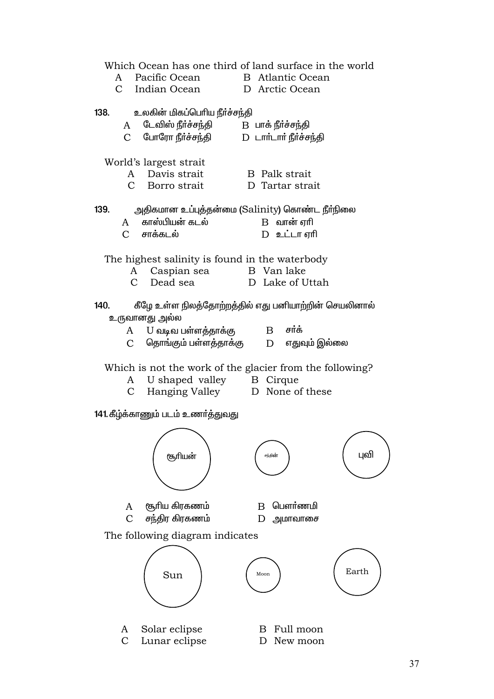Which Ocean has one third of land surface in the world Pacific Ocean **B** Atlantic Ocean  $A$  $C_{\alpha}$ Indian Ocean D Arctic Ocean 138. உலகின் மிகப்பெரிய நீர்ச்சந்தி டேவிஸ் நீர்ச்சந்தி  $B$  பாக் நீர்ச்சந்தி A  $\mathcal{C}$ போரோ நீர்ச்சந்தி  $D$   $L$ ார் $L$ ார் நீர்ச்சந்தி World's largest strait  $\mathbf{A}$ Davis strait **B** Palk strait  $\mathcal{C}$ Borro strait D Tartar strait 139. அதிகமான உப்புத்தன்மை (Salinity) கொண்ட நீா்நிலை  $\mathbf{A}$ காஸ்பியன் கடல்  $B$  வான் ஏரி  $\overline{C}$ சாக்கு ல் D உட்டா எரி The highest salinity is found in the waterbody  $\mathbf{A}$ Caspian sea B Van lake  $\mathcal{C}$ Dead sea D. Lake of Uttah  $140.$ கீழே உள்ள நிலத்தோற்றத்தில் எது பனியாற்றின் செயலினால் உருவானது அல்ல U வடிவ பள்ளத்தாக்கு  $\mathbf B$ சர்க் A  $\mathcal{C}$ தொங்கும் பள்ளத்தாக்கு  $D$ எதுவும் இல்லை Which is not the work of the glacier from the following? U shaped valley  $\mathsf{A}$ **B** Cirque  $\mathcal{C}$ Hanging Valley D None of these 141 கீழ்க்காணும் படம் உணர்த்துவது புவி சூரியன் சூரிய கிரகணம் B பௌர்ணமி  $\overline{A}$ சந்திர கிரகணம்  $\mathcal{C}$  $D$  அமாவாசை The following diagram indicates Earth Sun Moon Solar eclipse B Full moon  $\mathbf{A}$  $\mathcal{C}$ Lunar eclipse D New moon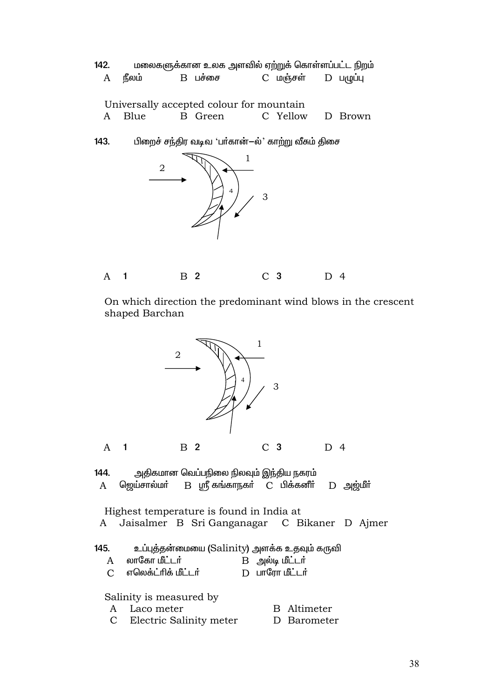| 142.<br>A | நீலம்                                              | $B$ பச்சை                                           | C மஞ்சள் | மலைகளுக்கான உலக அளவில் ஏற்றுக் கொள்ளப்பட்ட நிறம்<br>$D$ $L(\mu L)$ |  |
|-----------|----------------------------------------------------|-----------------------------------------------------|----------|--------------------------------------------------------------------|--|
| A         | Blue                                               | Universally accepted colour for mountain<br>B Green |          | C Yellow D Brown                                                   |  |
| 143.      | பிறைச் சந்திர வடிவ 'பா்கான்-ல்' காற்று வீசும் திசை |                                                     |          |                                                                    |  |
|           | 2                                                  | $\overline{4}$                                      | 1<br>3   |                                                                    |  |
| A         |                                                    | 2                                                   | C 3      | 4                                                                  |  |

On which direction the predominant wind blows in the crescent shaped Barchan